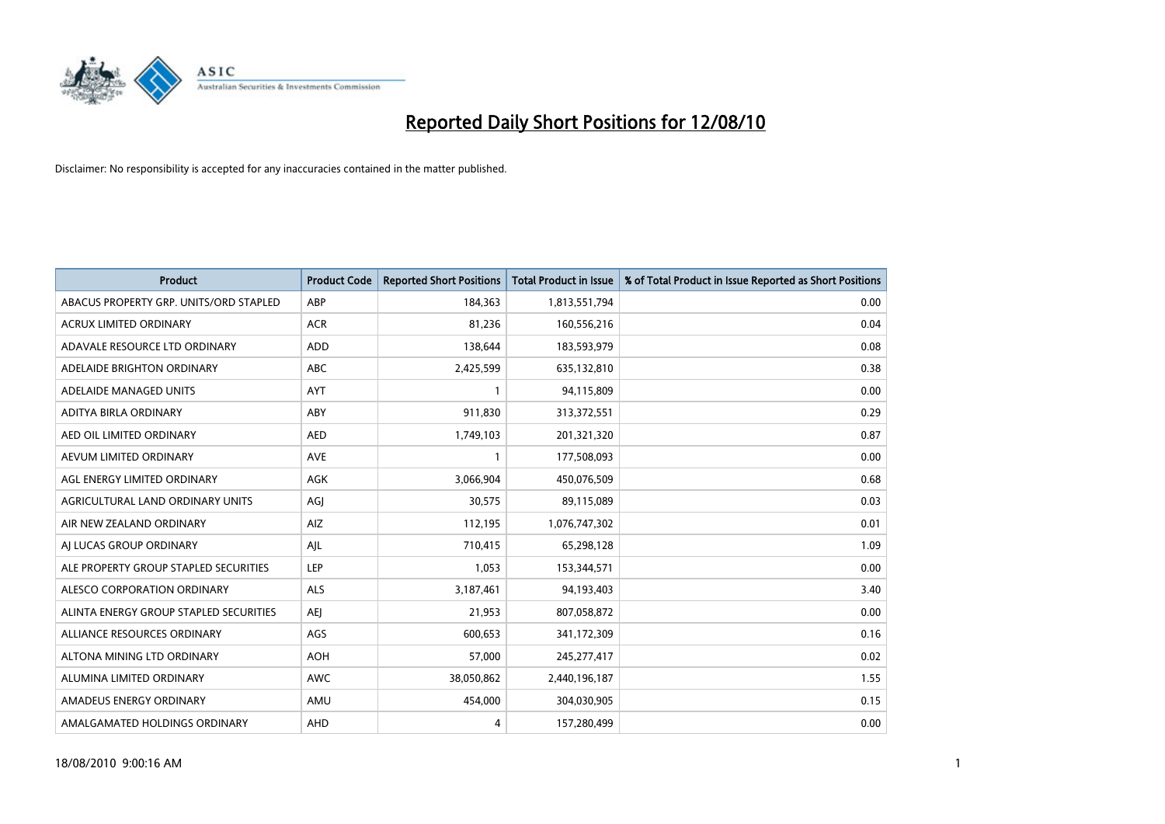

| <b>Product</b>                         | <b>Product Code</b> | <b>Reported Short Positions</b> | Total Product in Issue | % of Total Product in Issue Reported as Short Positions |
|----------------------------------------|---------------------|---------------------------------|------------------------|---------------------------------------------------------|
| ABACUS PROPERTY GRP. UNITS/ORD STAPLED | ABP                 | 184,363                         | 1,813,551,794          | 0.00                                                    |
| ACRUX LIMITED ORDINARY                 | <b>ACR</b>          | 81,236                          | 160,556,216            | 0.04                                                    |
| ADAVALE RESOURCE LTD ORDINARY          | <b>ADD</b>          | 138,644                         | 183,593,979            | 0.08                                                    |
| ADELAIDE BRIGHTON ORDINARY             | <b>ABC</b>          | 2,425,599                       | 635,132,810            | 0.38                                                    |
| ADELAIDE MANAGED UNITS                 | <b>AYT</b>          |                                 | 94,115,809             | 0.00                                                    |
| ADITYA BIRLA ORDINARY                  | ABY                 | 911,830                         | 313,372,551            | 0.29                                                    |
| AED OIL LIMITED ORDINARY               | <b>AED</b>          | 1,749,103                       | 201,321,320            | 0.87                                                    |
| AEVUM LIMITED ORDINARY                 | <b>AVE</b>          |                                 | 177,508,093            | 0.00                                                    |
| AGL ENERGY LIMITED ORDINARY            | AGK                 | 3,066,904                       | 450,076,509            | 0.68                                                    |
| AGRICULTURAL LAND ORDINARY UNITS       | AGJ                 | 30,575                          | 89,115,089             | 0.03                                                    |
| AIR NEW ZEALAND ORDINARY               | AIZ                 | 112,195                         | 1,076,747,302          | 0.01                                                    |
| AI LUCAS GROUP ORDINARY                | AJL                 | 710,415                         | 65,298,128             | 1.09                                                    |
| ALE PROPERTY GROUP STAPLED SECURITIES  | LEP                 | 1,053                           | 153,344,571            | 0.00                                                    |
| ALESCO CORPORATION ORDINARY            | ALS                 | 3,187,461                       | 94,193,403             | 3.40                                                    |
| ALINTA ENERGY GROUP STAPLED SECURITIES | <b>AEI</b>          | 21,953                          | 807,058,872            | 0.00                                                    |
| ALLIANCE RESOURCES ORDINARY            | AGS                 | 600,653                         | 341,172,309            | 0.16                                                    |
| ALTONA MINING LTD ORDINARY             | <b>AOH</b>          | 57,000                          | 245, 277, 417          | 0.02                                                    |
| ALUMINA LIMITED ORDINARY               | <b>AWC</b>          | 38,050,862                      | 2,440,196,187          | 1.55                                                    |
| AMADEUS ENERGY ORDINARY                | AMU                 | 454,000                         | 304,030,905            | 0.15                                                    |
| AMALGAMATED HOLDINGS ORDINARY          | <b>AHD</b>          | 4                               | 157,280,499            | 0.00                                                    |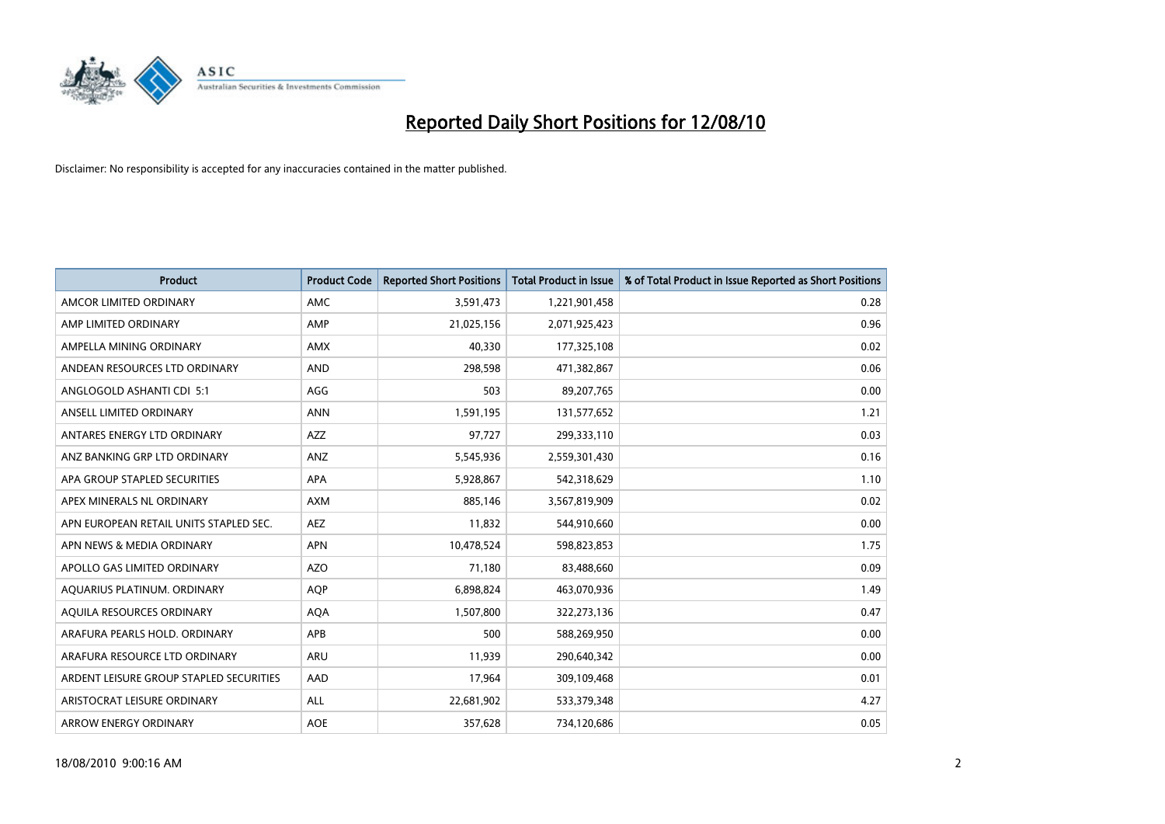

| <b>Product</b>                          | <b>Product Code</b> | <b>Reported Short Positions</b> | <b>Total Product in Issue</b> | % of Total Product in Issue Reported as Short Positions |
|-----------------------------------------|---------------------|---------------------------------|-------------------------------|---------------------------------------------------------|
| AMCOR LIMITED ORDINARY                  | <b>AMC</b>          | 3,591,473                       | 1,221,901,458                 | 0.28                                                    |
| AMP LIMITED ORDINARY                    | AMP                 | 21,025,156                      | 2,071,925,423                 | 0.96                                                    |
| AMPELLA MINING ORDINARY                 | <b>AMX</b>          | 40,330                          | 177,325,108                   | 0.02                                                    |
| ANDEAN RESOURCES LTD ORDINARY           | AND                 | 298,598                         | 471,382,867                   | 0.06                                                    |
| ANGLOGOLD ASHANTI CDI 5:1               | AGG                 | 503                             | 89,207,765                    | 0.00                                                    |
| ANSELL LIMITED ORDINARY                 | <b>ANN</b>          | 1,591,195                       | 131,577,652                   | 1.21                                                    |
| ANTARES ENERGY LTD ORDINARY             | <b>AZZ</b>          | 97,727                          | 299,333,110                   | 0.03                                                    |
| ANZ BANKING GRP LTD ORDINARY            | ANZ                 | 5,545,936                       | 2,559,301,430                 | 0.16                                                    |
| APA GROUP STAPLED SECURITIES            | <b>APA</b>          | 5,928,867                       | 542,318,629                   | 1.10                                                    |
| APEX MINERALS NL ORDINARY               | <b>AXM</b>          | 885.146                         | 3,567,819,909                 | 0.02                                                    |
| APN EUROPEAN RETAIL UNITS STAPLED SEC.  | <b>AEZ</b>          | 11,832                          | 544,910,660                   | 0.00                                                    |
| APN NEWS & MEDIA ORDINARY               | <b>APN</b>          | 10,478,524                      | 598,823,853                   | 1.75                                                    |
| APOLLO GAS LIMITED ORDINARY             | <b>AZO</b>          | 71.180                          | 83,488,660                    | 0.09                                                    |
| AQUARIUS PLATINUM. ORDINARY             | <b>AOP</b>          | 6,898,824                       | 463,070,936                   | 1.49                                                    |
| AQUILA RESOURCES ORDINARY               | <b>AQA</b>          | 1,507,800                       | 322,273,136                   | 0.47                                                    |
| ARAFURA PEARLS HOLD, ORDINARY           | APB                 | 500                             | 588,269,950                   | 0.00                                                    |
| ARAFURA RESOURCE LTD ORDINARY           | <b>ARU</b>          | 11,939                          | 290,640,342                   | 0.00                                                    |
| ARDENT LEISURE GROUP STAPLED SECURITIES | AAD                 | 17,964                          | 309,109,468                   | 0.01                                                    |
| ARISTOCRAT LEISURE ORDINARY             | <b>ALL</b>          | 22,681,902                      | 533,379,348                   | 4.27                                                    |
| ARROW ENERGY ORDINARY                   | <b>AOE</b>          | 357,628                         | 734,120,686                   | 0.05                                                    |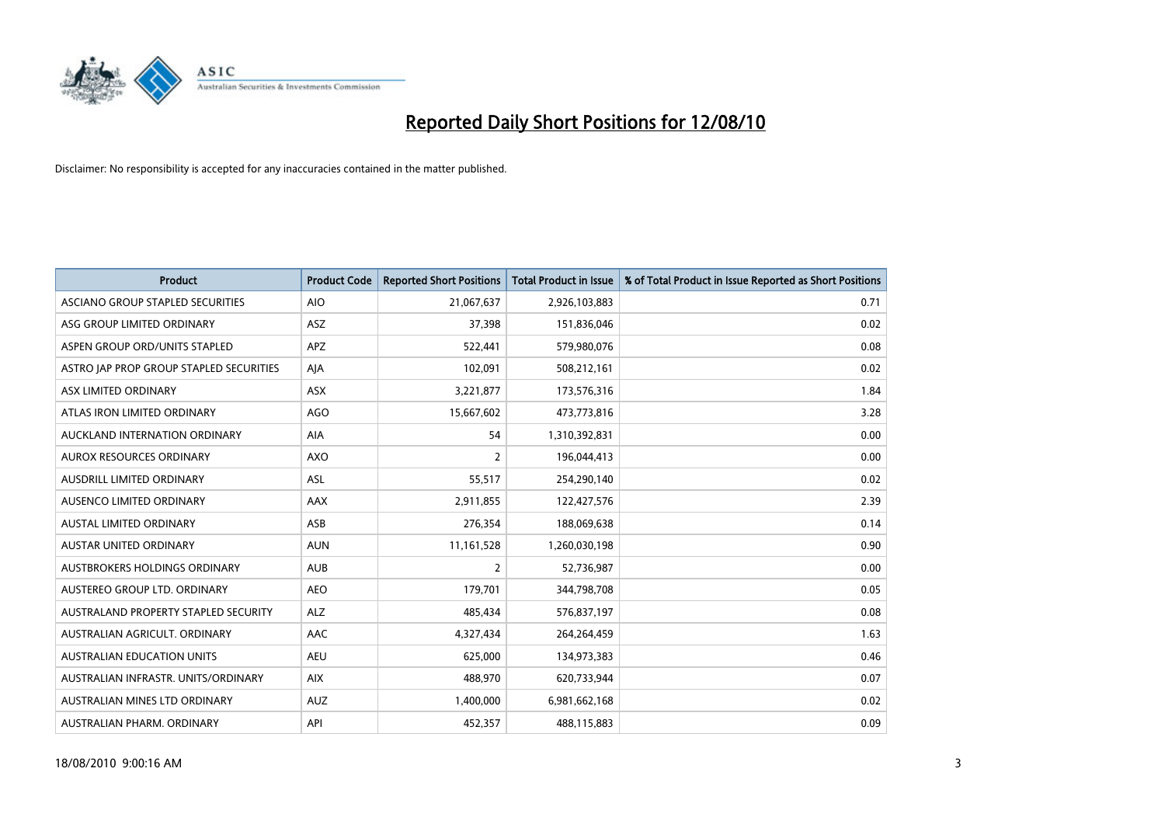

| <b>Product</b>                          | <b>Product Code</b> | <b>Reported Short Positions</b> | <b>Total Product in Issue</b> | % of Total Product in Issue Reported as Short Positions |
|-----------------------------------------|---------------------|---------------------------------|-------------------------------|---------------------------------------------------------|
| ASCIANO GROUP STAPLED SECURITIES        | <b>AIO</b>          | 21,067,637                      | 2,926,103,883                 | 0.71                                                    |
| ASG GROUP LIMITED ORDINARY              | <b>ASZ</b>          | 37,398                          | 151,836,046                   | 0.02                                                    |
| ASPEN GROUP ORD/UNITS STAPLED           | APZ                 | 522,441                         | 579,980,076                   | 0.08                                                    |
| ASTRO JAP PROP GROUP STAPLED SECURITIES | AJA                 | 102,091                         | 508,212,161                   | 0.02                                                    |
| ASX LIMITED ORDINARY                    | ASX                 | 3,221,877                       | 173,576,316                   | 1.84                                                    |
| ATLAS IRON LIMITED ORDINARY             | <b>AGO</b>          | 15,667,602                      | 473,773,816                   | 3.28                                                    |
| AUCKLAND INTERNATION ORDINARY           | AIA                 | 54                              | 1,310,392,831                 | 0.00                                                    |
| AUROX RESOURCES ORDINARY                | AXO                 | $\overline{2}$                  | 196,044,413                   | 0.00                                                    |
| AUSDRILL LIMITED ORDINARY               | ASL                 | 55,517                          | 254,290,140                   | 0.02                                                    |
| AUSENCO LIMITED ORDINARY                | AAX                 | 2,911,855                       | 122,427,576                   | 2.39                                                    |
| AUSTAL LIMITED ORDINARY                 | ASB                 | 276,354                         | 188,069,638                   | 0.14                                                    |
| <b>AUSTAR UNITED ORDINARY</b>           | <b>AUN</b>          | 11,161,528                      | 1,260,030,198                 | 0.90                                                    |
| AUSTBROKERS HOLDINGS ORDINARY           | <b>AUB</b>          | $\overline{2}$                  | 52,736,987                    | 0.00                                                    |
| AUSTEREO GROUP LTD. ORDINARY            | <b>AEO</b>          | 179,701                         | 344,798,708                   | 0.05                                                    |
| AUSTRALAND PROPERTY STAPLED SECURITY    | <b>ALZ</b>          | 485,434                         | 576,837,197                   | 0.08                                                    |
| AUSTRALIAN AGRICULT, ORDINARY           | AAC                 | 4,327,434                       | 264,264,459                   | 1.63                                                    |
| <b>AUSTRALIAN EDUCATION UNITS</b>       | <b>AEU</b>          | 625,000                         | 134,973,383                   | 0.46                                                    |
| AUSTRALIAN INFRASTR, UNITS/ORDINARY     | <b>AIX</b>          | 488.970                         | 620,733,944                   | 0.07                                                    |
| AUSTRALIAN MINES LTD ORDINARY           | <b>AUZ</b>          | 1,400,000                       | 6,981,662,168                 | 0.02                                                    |
| AUSTRALIAN PHARM, ORDINARY              | API                 | 452,357                         | 488,115,883                   | 0.09                                                    |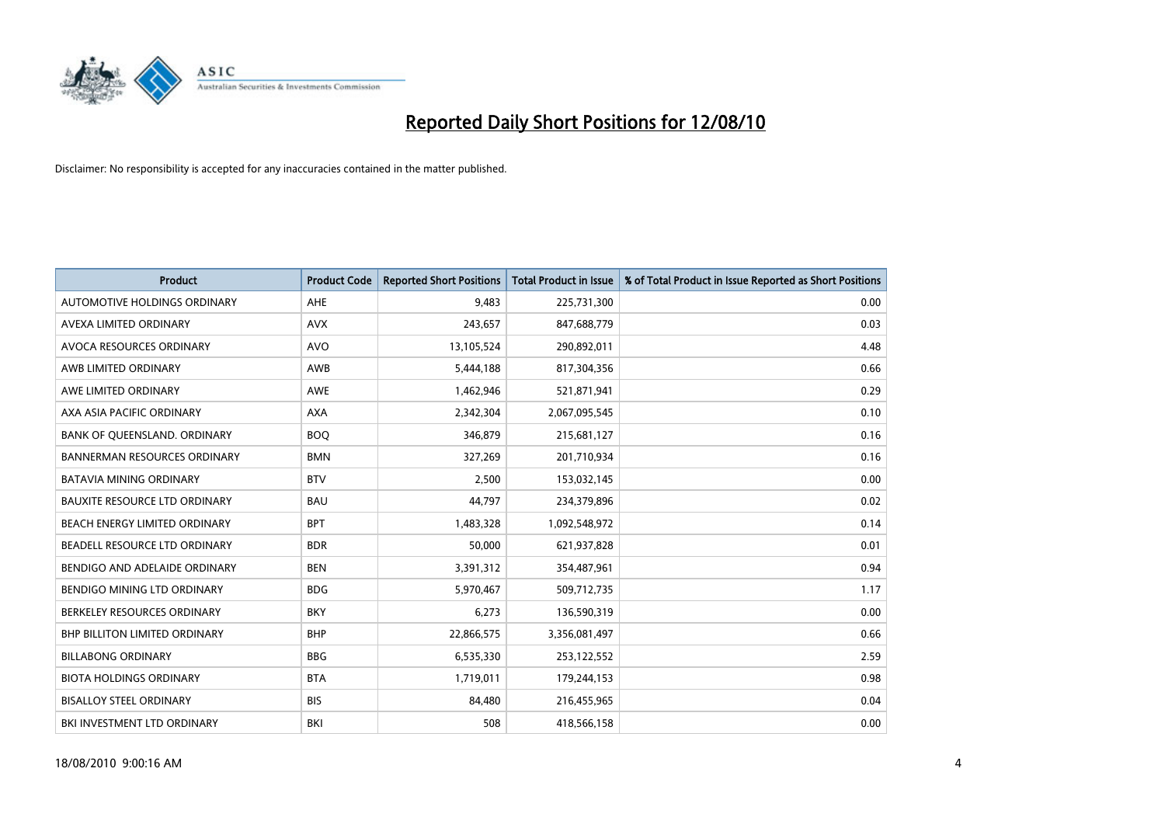

| <b>Product</b>                       | <b>Product Code</b> | <b>Reported Short Positions</b> | <b>Total Product in Issue</b> | % of Total Product in Issue Reported as Short Positions |
|--------------------------------------|---------------------|---------------------------------|-------------------------------|---------------------------------------------------------|
| AUTOMOTIVE HOLDINGS ORDINARY         | <b>AHE</b>          | 9,483                           | 225,731,300                   | 0.00                                                    |
| AVEXA LIMITED ORDINARY               | <b>AVX</b>          | 243,657                         | 847,688,779                   | 0.03                                                    |
| AVOCA RESOURCES ORDINARY             | <b>AVO</b>          | 13,105,524                      | 290,892,011                   | 4.48                                                    |
| AWB LIMITED ORDINARY                 | AWB                 | 5,444,188                       | 817,304,356                   | 0.66                                                    |
| AWE LIMITED ORDINARY                 | <b>AWE</b>          | 1,462,946                       | 521,871,941                   | 0.29                                                    |
| AXA ASIA PACIFIC ORDINARY            | <b>AXA</b>          | 2,342,304                       | 2,067,095,545                 | 0.10                                                    |
| BANK OF QUEENSLAND. ORDINARY         | <b>BOO</b>          | 346,879                         | 215,681,127                   | 0.16                                                    |
| <b>BANNERMAN RESOURCES ORDINARY</b>  | <b>BMN</b>          | 327,269                         | 201,710,934                   | 0.16                                                    |
| <b>BATAVIA MINING ORDINARY</b>       | <b>BTV</b>          | 2,500                           | 153,032,145                   | 0.00                                                    |
| <b>BAUXITE RESOURCE LTD ORDINARY</b> | <b>BAU</b>          | 44,797                          | 234,379,896                   | 0.02                                                    |
| BEACH ENERGY LIMITED ORDINARY        | <b>BPT</b>          | 1,483,328                       | 1,092,548,972                 | 0.14                                                    |
| BEADELL RESOURCE LTD ORDINARY        | <b>BDR</b>          | 50,000                          | 621,937,828                   | 0.01                                                    |
| BENDIGO AND ADELAIDE ORDINARY        | <b>BEN</b>          | 3,391,312                       | 354,487,961                   | 0.94                                                    |
| BENDIGO MINING LTD ORDINARY          | <b>BDG</b>          | 5,970,467                       | 509,712,735                   | 1.17                                                    |
| BERKELEY RESOURCES ORDINARY          | <b>BKY</b>          | 6,273                           | 136,590,319                   | 0.00                                                    |
| <b>BHP BILLITON LIMITED ORDINARY</b> | <b>BHP</b>          | 22,866,575                      | 3,356,081,497                 | 0.66                                                    |
| <b>BILLABONG ORDINARY</b>            | <b>BBG</b>          | 6,535,330                       | 253,122,552                   | 2.59                                                    |
| <b>BIOTA HOLDINGS ORDINARY</b>       | <b>BTA</b>          | 1,719,011                       | 179,244,153                   | 0.98                                                    |
| <b>BISALLOY STEEL ORDINARY</b>       | <b>BIS</b>          | 84,480                          | 216,455,965                   | 0.04                                                    |
| BKI INVESTMENT LTD ORDINARY          | <b>BKI</b>          | 508                             | 418,566,158                   | 0.00                                                    |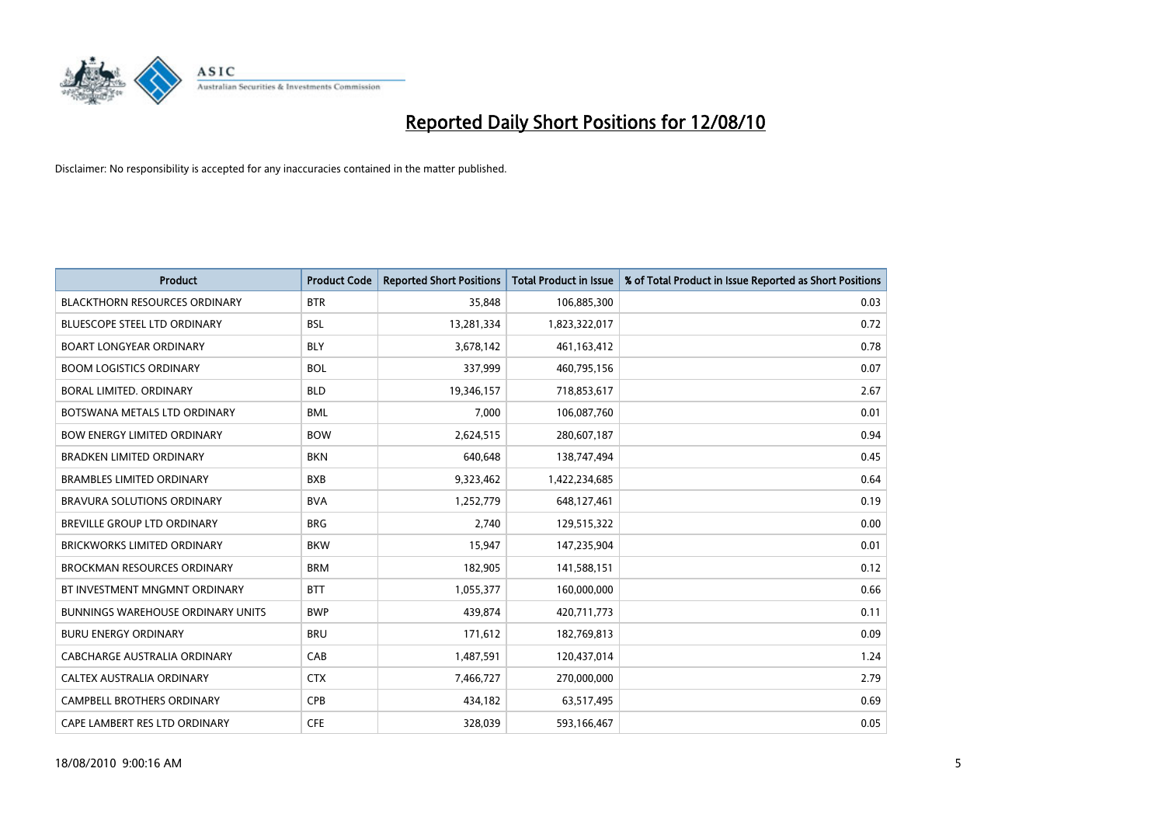

| <b>Product</b>                           | <b>Product Code</b> | <b>Reported Short Positions</b> | <b>Total Product in Issue</b> | % of Total Product in Issue Reported as Short Positions |
|------------------------------------------|---------------------|---------------------------------|-------------------------------|---------------------------------------------------------|
| <b>BLACKTHORN RESOURCES ORDINARY</b>     | <b>BTR</b>          | 35.848                          | 106,885,300                   | 0.03                                                    |
| <b>BLUESCOPE STEEL LTD ORDINARY</b>      | <b>BSL</b>          | 13,281,334                      | 1,823,322,017                 | 0.72                                                    |
| <b>BOART LONGYEAR ORDINARY</b>           | <b>BLY</b>          | 3,678,142                       | 461,163,412                   | 0.78                                                    |
| <b>BOOM LOGISTICS ORDINARY</b>           | <b>BOL</b>          | 337,999                         | 460,795,156                   | 0.07                                                    |
| <b>BORAL LIMITED, ORDINARY</b>           | <b>BLD</b>          | 19,346,157                      | 718,853,617                   | 2.67                                                    |
| BOTSWANA METALS LTD ORDINARY             | <b>BML</b>          | 7,000                           | 106,087,760                   | 0.01                                                    |
| <b>BOW ENERGY LIMITED ORDINARY</b>       | <b>BOW</b>          | 2,624,515                       | 280,607,187                   | 0.94                                                    |
| <b>BRADKEN LIMITED ORDINARY</b>          | <b>BKN</b>          | 640,648                         | 138,747,494                   | 0.45                                                    |
| <b>BRAMBLES LIMITED ORDINARY</b>         | <b>BXB</b>          | 9,323,462                       | 1,422,234,685                 | 0.64                                                    |
| <b>BRAVURA SOLUTIONS ORDINARY</b>        | <b>BVA</b>          | 1,252,779                       | 648,127,461                   | 0.19                                                    |
| <b>BREVILLE GROUP LTD ORDINARY</b>       | <b>BRG</b>          | 2.740                           | 129,515,322                   | 0.00                                                    |
| <b>BRICKWORKS LIMITED ORDINARY</b>       | <b>BKW</b>          | 15,947                          | 147,235,904                   | 0.01                                                    |
| <b>BROCKMAN RESOURCES ORDINARY</b>       | <b>BRM</b>          | 182,905                         | 141,588,151                   | 0.12                                                    |
| BT INVESTMENT MNGMNT ORDINARY            | <b>BTT</b>          | 1,055,377                       | 160,000,000                   | 0.66                                                    |
| <b>BUNNINGS WAREHOUSE ORDINARY UNITS</b> | <b>BWP</b>          | 439.874                         | 420,711,773                   | 0.11                                                    |
| <b>BURU ENERGY ORDINARY</b>              | <b>BRU</b>          | 171,612                         | 182,769,813                   | 0.09                                                    |
| CABCHARGE AUSTRALIA ORDINARY             | CAB                 | 1,487,591                       | 120,437,014                   | 1.24                                                    |
| CALTEX AUSTRALIA ORDINARY                | <b>CTX</b>          | 7,466,727                       | 270,000,000                   | 2.79                                                    |
| CAMPBELL BROTHERS ORDINARY               | <b>CPB</b>          | 434,182                         | 63,517,495                    | 0.69                                                    |
| CAPE LAMBERT RES LTD ORDINARY            | <b>CFE</b>          | 328.039                         | 593,166,467                   | 0.05                                                    |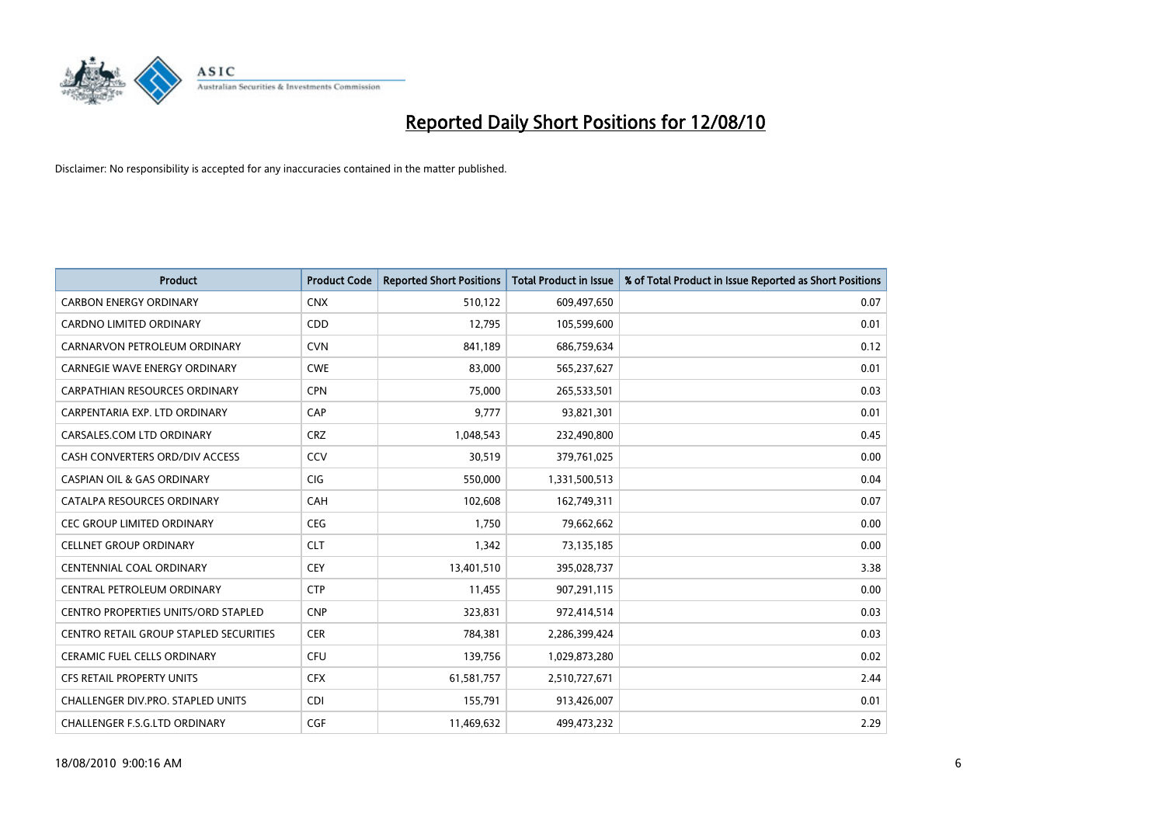

| <b>Product</b>                                | <b>Product Code</b> | <b>Reported Short Positions</b> | Total Product in Issue | % of Total Product in Issue Reported as Short Positions |
|-----------------------------------------------|---------------------|---------------------------------|------------------------|---------------------------------------------------------|
| <b>CARBON ENERGY ORDINARY</b>                 | <b>CNX</b>          | 510,122                         | 609,497,650            | 0.07                                                    |
| <b>CARDNO LIMITED ORDINARY</b>                | CDD                 | 12,795                          | 105,599,600            | 0.01                                                    |
| CARNARVON PETROLEUM ORDINARY                  | <b>CVN</b>          | 841,189                         | 686,759,634            | 0.12                                                    |
| <b>CARNEGIE WAVE ENERGY ORDINARY</b>          | <b>CWE</b>          | 83,000                          | 565,237,627            | 0.01                                                    |
| <b>CARPATHIAN RESOURCES ORDINARY</b>          | <b>CPN</b>          | 75.000                          | 265,533,501            | 0.03                                                    |
| CARPENTARIA EXP. LTD ORDINARY                 | CAP                 | 9,777                           | 93,821,301             | 0.01                                                    |
| CARSALES.COM LTD ORDINARY                     | <b>CRZ</b>          | 1,048,543                       | 232,490,800            | 0.45                                                    |
| CASH CONVERTERS ORD/DIV ACCESS                | CCV                 | 30,519                          | 379,761,025            | 0.00                                                    |
| CASPIAN OIL & GAS ORDINARY                    | <b>CIG</b>          | 550,000                         | 1,331,500,513          | 0.04                                                    |
| CATALPA RESOURCES ORDINARY                    | CAH                 | 102,608                         | 162,749,311            | 0.07                                                    |
| <b>CEC GROUP LIMITED ORDINARY</b>             | <b>CEG</b>          | 1.750                           | 79,662,662             | 0.00                                                    |
| <b>CELLNET GROUP ORDINARY</b>                 | <b>CLT</b>          | 1,342                           | 73,135,185             | 0.00                                                    |
| <b>CENTENNIAL COAL ORDINARY</b>               | <b>CEY</b>          | 13,401,510                      | 395,028,737            | 3.38                                                    |
| CENTRAL PETROLEUM ORDINARY                    | <b>CTP</b>          | 11,455                          | 907,291,115            | 0.00                                                    |
| <b>CENTRO PROPERTIES UNITS/ORD STAPLED</b>    | <b>CNP</b>          | 323,831                         | 972,414,514            | 0.03                                                    |
| <b>CENTRO RETAIL GROUP STAPLED SECURITIES</b> | <b>CER</b>          | 784,381                         | 2,286,399,424          | 0.03                                                    |
| <b>CERAMIC FUEL CELLS ORDINARY</b>            | <b>CFU</b>          | 139,756                         | 1,029,873,280          | 0.02                                                    |
| CFS RETAIL PROPERTY UNITS                     | <b>CFX</b>          | 61,581,757                      | 2,510,727,671          | 2.44                                                    |
| <b>CHALLENGER DIV.PRO. STAPLED UNITS</b>      | <b>CDI</b>          | 155,791                         | 913,426,007            | 0.01                                                    |
| CHALLENGER F.S.G.LTD ORDINARY                 | CGF                 | 11,469,632                      | 499.473.232            | 2.29                                                    |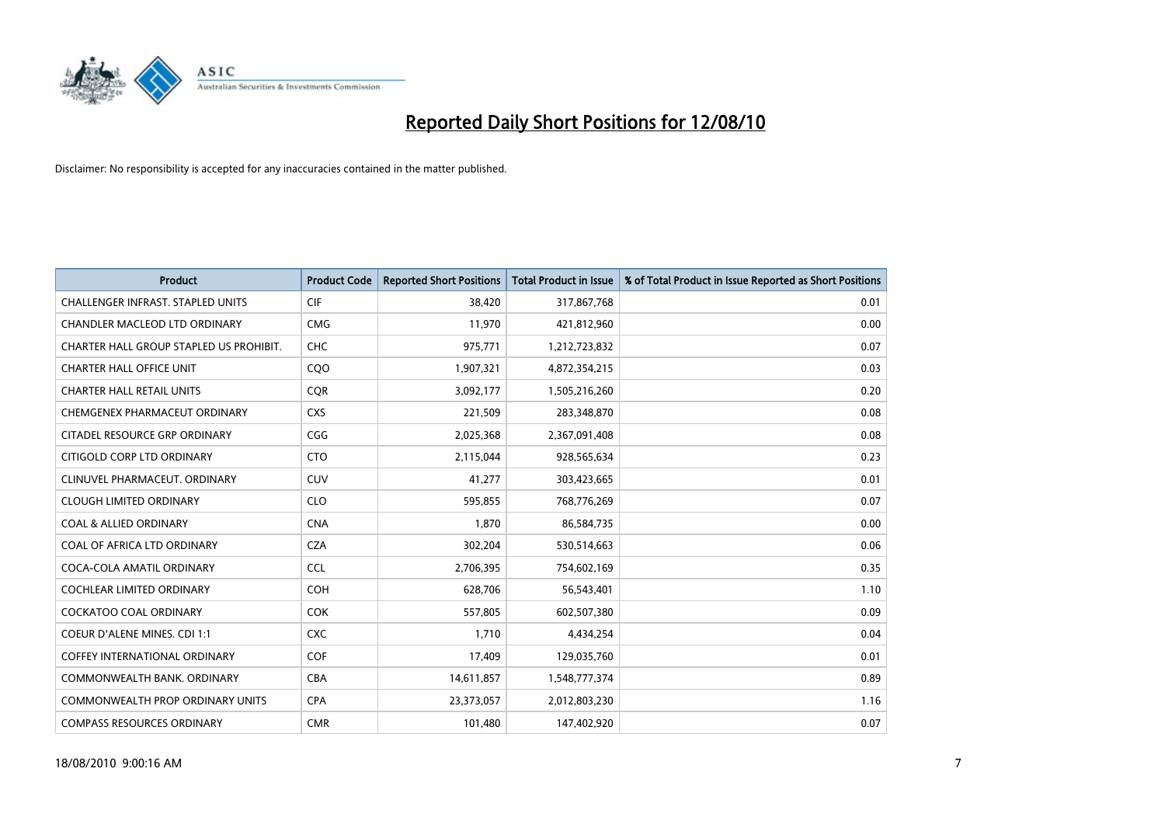

| <b>Product</b>                           | <b>Product Code</b> | <b>Reported Short Positions</b> | Total Product in Issue | % of Total Product in Issue Reported as Short Positions |
|------------------------------------------|---------------------|---------------------------------|------------------------|---------------------------------------------------------|
| <b>CHALLENGER INFRAST, STAPLED UNITS</b> | CIF                 | 38,420                          | 317,867,768            | 0.01                                                    |
| CHANDLER MACLEOD LTD ORDINARY            | <b>CMG</b>          | 11,970                          | 421,812,960            | 0.00                                                    |
| CHARTER HALL GROUP STAPLED US PROHIBIT.  | CHC                 | 975,771                         | 1,212,723,832          | 0.07                                                    |
| <b>CHARTER HALL OFFICE UNIT</b>          | CQ <sub>O</sub>     | 1,907,321                       | 4,872,354,215          | 0.03                                                    |
| <b>CHARTER HALL RETAIL UNITS</b>         | <b>COR</b>          | 3,092,177                       | 1,505,216,260          | 0.20                                                    |
| CHEMGENEX PHARMACEUT ORDINARY            | <b>CXS</b>          | 221,509                         | 283,348,870            | 0.08                                                    |
| CITADEL RESOURCE GRP ORDINARY            | CGG                 | 2,025,368                       | 2,367,091,408          | 0.08                                                    |
| CITIGOLD CORP LTD ORDINARY               | <b>CTO</b>          | 2,115,044                       | 928,565,634            | 0.23                                                    |
| CLINUVEL PHARMACEUT. ORDINARY            | <b>CUV</b>          | 41,277                          | 303,423,665            | 0.01                                                    |
| <b>CLOUGH LIMITED ORDINARY</b>           | <b>CLO</b>          | 595,855                         | 768,776,269            | 0.07                                                    |
| <b>COAL &amp; ALLIED ORDINARY</b>        | <b>CNA</b>          | 1,870                           | 86,584,735             | 0.00                                                    |
| COAL OF AFRICA LTD ORDINARY              | <b>CZA</b>          | 302,204                         | 530,514,663            | 0.06                                                    |
| COCA-COLA AMATIL ORDINARY                | <b>CCL</b>          | 2,706,395                       | 754,602,169            | 0.35                                                    |
| <b>COCHLEAR LIMITED ORDINARY</b>         | <b>COH</b>          | 628,706                         | 56,543,401             | 1.10                                                    |
| <b>COCKATOO COAL ORDINARY</b>            | <b>COK</b>          | 557,805                         | 602,507,380            | 0.09                                                    |
| COEUR D'ALENE MINES. CDI 1:1             | <b>CXC</b>          | 1,710                           | 4,434,254              | 0.04                                                    |
| <b>COFFEY INTERNATIONAL ORDINARY</b>     | COF                 | 17,409                          | 129,035,760            | 0.01                                                    |
| COMMONWEALTH BANK, ORDINARY              | <b>CBA</b>          | 14,611,857                      | 1,548,777,374          | 0.89                                                    |
| <b>COMMONWEALTH PROP ORDINARY UNITS</b>  | <b>CPA</b>          | 23,373,057                      | 2,012,803,230          | 1.16                                                    |
| <b>COMPASS RESOURCES ORDINARY</b>        | <b>CMR</b>          | 101.480                         | 147,402,920            | 0.07                                                    |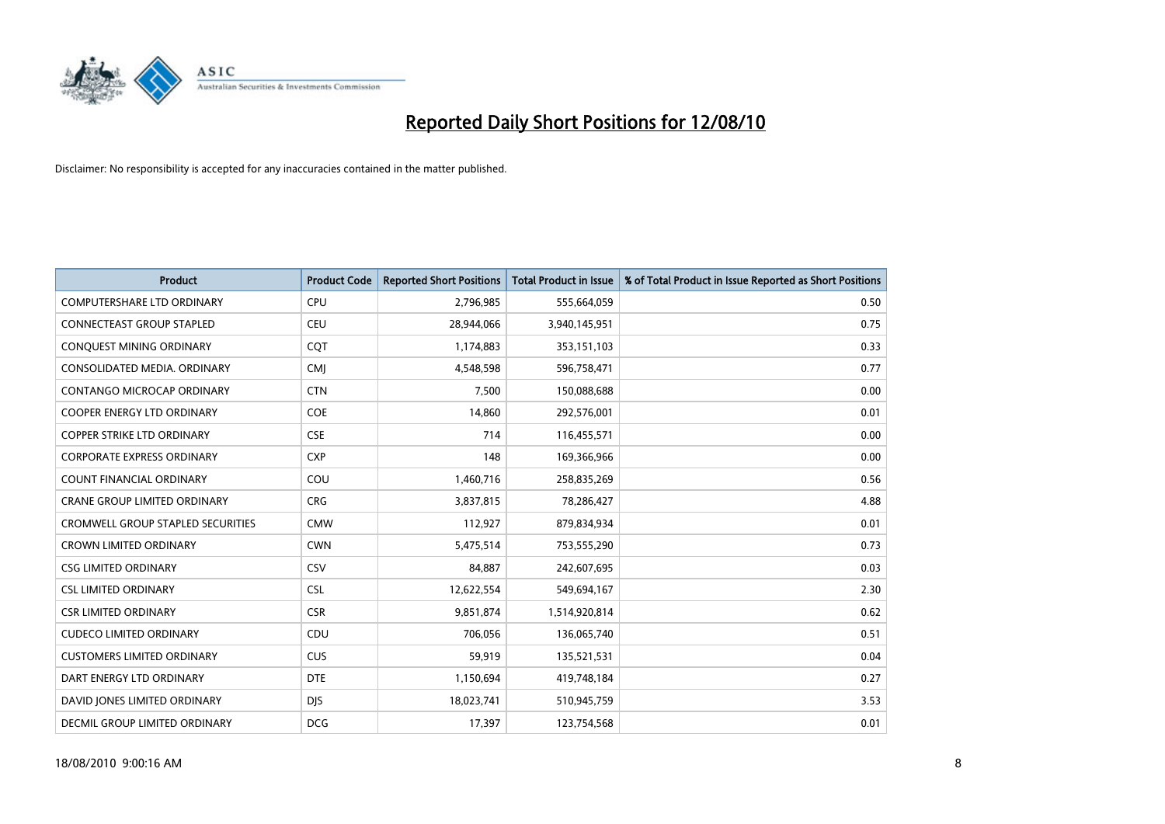

| <b>Product</b>                      | <b>Product Code</b> | <b>Reported Short Positions</b> | <b>Total Product in Issue</b> | % of Total Product in Issue Reported as Short Positions |
|-------------------------------------|---------------------|---------------------------------|-------------------------------|---------------------------------------------------------|
| <b>COMPUTERSHARE LTD ORDINARY</b>   | <b>CPU</b>          | 2,796,985                       | 555,664,059                   | 0.50                                                    |
| CONNECTEAST GROUP STAPLED           | CEU                 | 28,944,066                      | 3,940,145,951                 | 0.75                                                    |
| CONQUEST MINING ORDINARY            | CQT                 | 1,174,883                       | 353,151,103                   | 0.33                                                    |
| CONSOLIDATED MEDIA. ORDINARY        | <b>CMI</b>          | 4,548,598                       | 596,758,471                   | 0.77                                                    |
| CONTANGO MICROCAP ORDINARY          | <b>CTN</b>          | 7,500                           | 150,088,688                   | 0.00                                                    |
| COOPER ENERGY LTD ORDINARY          | <b>COE</b>          | 14,860                          | 292,576,001                   | 0.01                                                    |
| <b>COPPER STRIKE LTD ORDINARY</b>   | <b>CSE</b>          | 714                             | 116,455,571                   | 0.00                                                    |
| <b>CORPORATE EXPRESS ORDINARY</b>   | <b>CXP</b>          | 148                             | 169,366,966                   | 0.00                                                    |
| COUNT FINANCIAL ORDINARY            | COU                 | 1,460,716                       | 258,835,269                   | 0.56                                                    |
| <b>CRANE GROUP LIMITED ORDINARY</b> | <b>CRG</b>          | 3,837,815                       | 78,286,427                    | 4.88                                                    |
| CROMWELL GROUP STAPLED SECURITIES   | <b>CMW</b>          | 112,927                         | 879,834,934                   | 0.01                                                    |
| <b>CROWN LIMITED ORDINARY</b>       | <b>CWN</b>          | 5,475,514                       | 753,555,290                   | 0.73                                                    |
| <b>CSG LIMITED ORDINARY</b>         | CSV                 | 84,887                          | 242,607,695                   | 0.03                                                    |
| <b>CSL LIMITED ORDINARY</b>         | <b>CSL</b>          | 12,622,554                      | 549,694,167                   | 2.30                                                    |
| <b>CSR LIMITED ORDINARY</b>         | <b>CSR</b>          | 9,851,874                       | 1,514,920,814                 | 0.62                                                    |
| <b>CUDECO LIMITED ORDINARY</b>      | CDU                 | 706,056                         | 136,065,740                   | 0.51                                                    |
| <b>CUSTOMERS LIMITED ORDINARY</b>   | CUS                 | 59,919                          | 135,521,531                   | 0.04                                                    |
| DART ENERGY LTD ORDINARY            | <b>DTE</b>          | 1,150,694                       | 419,748,184                   | 0.27                                                    |
| DAVID JONES LIMITED ORDINARY        | <b>DJS</b>          | 18,023,741                      | 510,945,759                   | 3.53                                                    |
| DECMIL GROUP LIMITED ORDINARY       | <b>DCG</b>          | 17,397                          | 123,754,568                   | 0.01                                                    |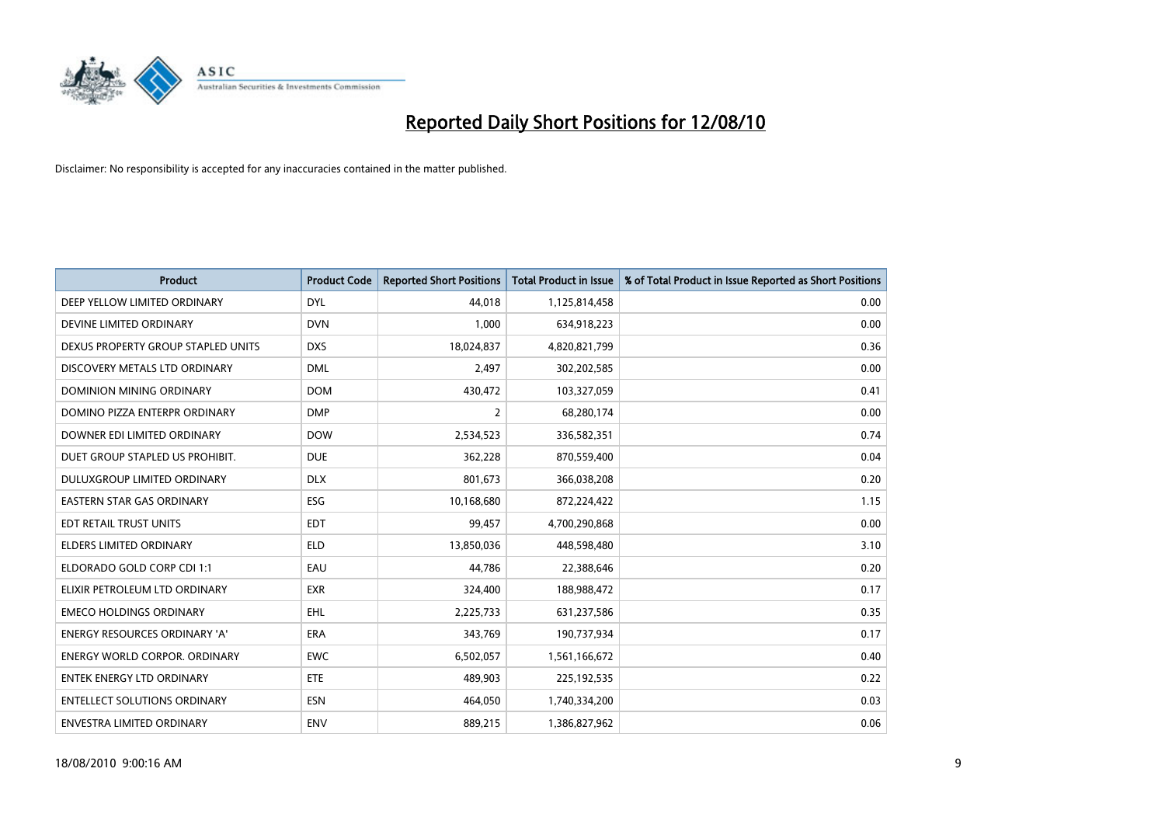

| <b>Product</b>                       | <b>Product Code</b> | <b>Reported Short Positions</b> | <b>Total Product in Issue</b> | % of Total Product in Issue Reported as Short Positions |
|--------------------------------------|---------------------|---------------------------------|-------------------------------|---------------------------------------------------------|
| DEEP YELLOW LIMITED ORDINARY         | <b>DYL</b>          | 44,018                          | 1,125,814,458                 | 0.00                                                    |
| DEVINE LIMITED ORDINARY              | <b>DVN</b>          | 1,000                           | 634,918,223                   | 0.00                                                    |
| DEXUS PROPERTY GROUP STAPLED UNITS   | <b>DXS</b>          | 18,024,837                      | 4,820,821,799                 | 0.36                                                    |
| DISCOVERY METALS LTD ORDINARY        | <b>DML</b>          | 2,497                           | 302,202,585                   | 0.00                                                    |
| DOMINION MINING ORDINARY             | <b>DOM</b>          | 430,472                         | 103,327,059                   | 0.41                                                    |
| DOMINO PIZZA ENTERPR ORDINARY        | <b>DMP</b>          | $\overline{2}$                  | 68,280,174                    | 0.00                                                    |
| DOWNER EDI LIMITED ORDINARY          | <b>DOW</b>          | 2,534,523                       | 336,582,351                   | 0.74                                                    |
| DUET GROUP STAPLED US PROHIBIT.      | <b>DUE</b>          | 362,228                         | 870,559,400                   | 0.04                                                    |
| DULUXGROUP LIMITED ORDINARY          | <b>DLX</b>          | 801,673                         | 366,038,208                   | 0.20                                                    |
| <b>EASTERN STAR GAS ORDINARY</b>     | <b>ESG</b>          | 10,168,680                      | 872,224,422                   | 1.15                                                    |
| EDT RETAIL TRUST UNITS               | <b>EDT</b>          | 99,457                          | 4,700,290,868                 | 0.00                                                    |
| <b>ELDERS LIMITED ORDINARY</b>       | <b>ELD</b>          | 13,850,036                      | 448,598,480                   | 3.10                                                    |
| ELDORADO GOLD CORP CDI 1:1           | EAU                 | 44,786                          | 22,388,646                    | 0.20                                                    |
| ELIXIR PETROLEUM LTD ORDINARY        | <b>EXR</b>          | 324,400                         | 188,988,472                   | 0.17                                                    |
| <b>EMECO HOLDINGS ORDINARY</b>       | <b>EHL</b>          | 2,225,733                       | 631,237,586                   | 0.35                                                    |
| <b>ENERGY RESOURCES ORDINARY 'A'</b> | <b>ERA</b>          | 343,769                         | 190,737,934                   | 0.17                                                    |
| <b>ENERGY WORLD CORPOR, ORDINARY</b> | <b>EWC</b>          | 6,502,057                       | 1,561,166,672                 | 0.40                                                    |
| ENTEK ENERGY LTD ORDINARY            | <b>ETE</b>          | 489,903                         | 225,192,535                   | 0.22                                                    |
| <b>ENTELLECT SOLUTIONS ORDINARY</b>  | <b>ESN</b>          | 464,050                         | 1,740,334,200                 | 0.03                                                    |
| <b>ENVESTRA LIMITED ORDINARY</b>     | <b>ENV</b>          | 889,215                         | 1,386,827,962                 | 0.06                                                    |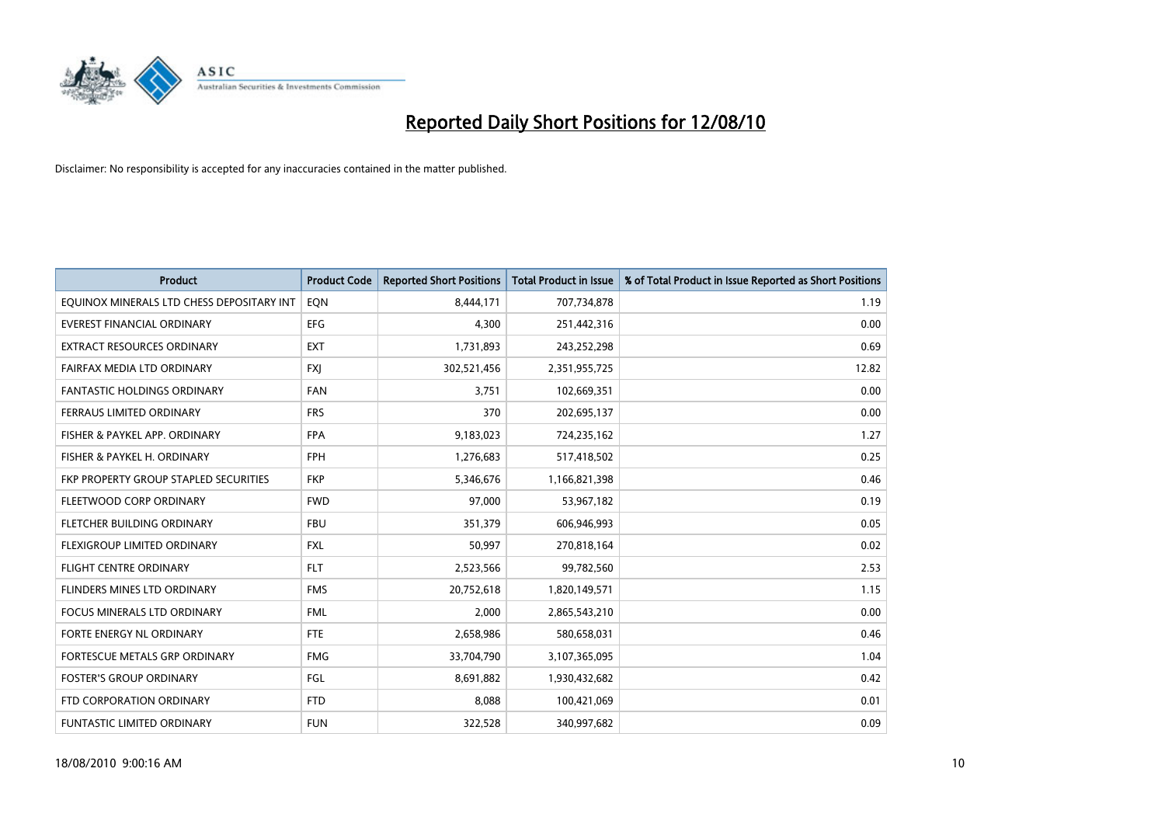

| <b>Product</b>                            | <b>Product Code</b> | <b>Reported Short Positions</b> | <b>Total Product in Issue</b> | % of Total Product in Issue Reported as Short Positions |
|-------------------------------------------|---------------------|---------------------------------|-------------------------------|---------------------------------------------------------|
| EQUINOX MINERALS LTD CHESS DEPOSITARY INT | EON                 | 8,444,171                       | 707,734,878                   | 1.19                                                    |
| EVEREST FINANCIAL ORDINARY                | <b>EFG</b>          | 4,300                           | 251,442,316                   | 0.00                                                    |
| EXTRACT RESOURCES ORDINARY                | <b>EXT</b>          | 1,731,893                       | 243,252,298                   | 0.69                                                    |
| FAIRFAX MEDIA LTD ORDINARY                | <b>FXI</b>          | 302,521,456                     | 2,351,955,725                 | 12.82                                                   |
| <b>FANTASTIC HOLDINGS ORDINARY</b>        | <b>FAN</b>          | 3,751                           | 102,669,351                   | 0.00                                                    |
| FERRAUS LIMITED ORDINARY                  | <b>FRS</b>          | 370                             | 202,695,137                   | 0.00                                                    |
| FISHER & PAYKEL APP. ORDINARY             | <b>FPA</b>          | 9,183,023                       | 724,235,162                   | 1.27                                                    |
| FISHER & PAYKEL H. ORDINARY               | <b>FPH</b>          | 1,276,683                       | 517,418,502                   | 0.25                                                    |
| FKP PROPERTY GROUP STAPLED SECURITIES     | <b>FKP</b>          | 5,346,676                       | 1,166,821,398                 | 0.46                                                    |
| FLEETWOOD CORP ORDINARY                   | <b>FWD</b>          | 97,000                          | 53,967,182                    | 0.19                                                    |
| FLETCHER BUILDING ORDINARY                | <b>FBU</b>          | 351,379                         | 606,946,993                   | 0.05                                                    |
| FLEXIGROUP LIMITED ORDINARY               | <b>FXL</b>          | 50,997                          | 270,818,164                   | 0.02                                                    |
| <b>FLIGHT CENTRE ORDINARY</b>             | <b>FLT</b>          | 2,523,566                       | 99,782,560                    | 2.53                                                    |
| FLINDERS MINES LTD ORDINARY               | <b>FMS</b>          | 20,752,618                      | 1,820,149,571                 | 1.15                                                    |
| <b>FOCUS MINERALS LTD ORDINARY</b>        | <b>FML</b>          | 2,000                           | 2,865,543,210                 | 0.00                                                    |
| FORTE ENERGY NL ORDINARY                  | <b>FTE</b>          | 2,658,986                       | 580,658,031                   | 0.46                                                    |
| FORTESCUE METALS GRP ORDINARY             | <b>FMG</b>          | 33,704,790                      | 3,107,365,095                 | 1.04                                                    |
| <b>FOSTER'S GROUP ORDINARY</b>            | FGL                 | 8,691,882                       | 1,930,432,682                 | 0.42                                                    |
| FTD CORPORATION ORDINARY                  | <b>FTD</b>          | 8,088                           | 100,421,069                   | 0.01                                                    |
| <b>FUNTASTIC LIMITED ORDINARY</b>         | <b>FUN</b>          | 322,528                         | 340,997,682                   | 0.09                                                    |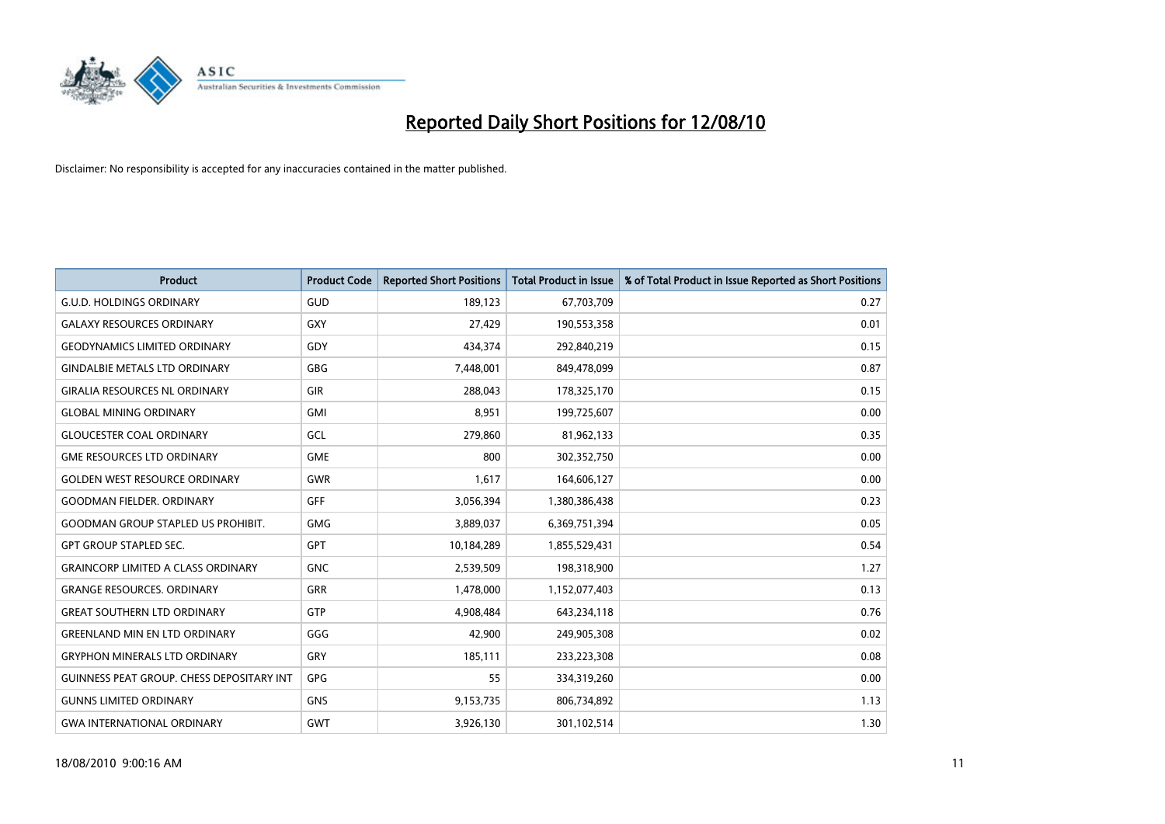

| <b>Product</b>                            | <b>Product Code</b> | <b>Reported Short Positions</b> | Total Product in Issue | % of Total Product in Issue Reported as Short Positions |
|-------------------------------------------|---------------------|---------------------------------|------------------------|---------------------------------------------------------|
| <b>G.U.D. HOLDINGS ORDINARY</b>           | <b>GUD</b>          | 189,123                         | 67,703,709             | 0.27                                                    |
| <b>GALAXY RESOURCES ORDINARY</b>          | GXY                 | 27,429                          | 190,553,358            | 0.01                                                    |
| <b>GEODYNAMICS LIMITED ORDINARY</b>       | GDY                 | 434,374                         | 292,840,219            | 0.15                                                    |
| <b>GINDALBIE METALS LTD ORDINARY</b>      | <b>GBG</b>          | 7,448,001                       | 849,478,099            | 0.87                                                    |
| <b>GIRALIA RESOURCES NL ORDINARY</b>      | GIR                 | 288.043                         | 178,325,170            | 0.15                                                    |
| <b>GLOBAL MINING ORDINARY</b>             | <b>GMI</b>          | 8,951                           | 199,725,607            | 0.00                                                    |
| <b>GLOUCESTER COAL ORDINARY</b>           | GCL                 | 279,860                         | 81,962,133             | 0.35                                                    |
| <b>GME RESOURCES LTD ORDINARY</b>         | <b>GME</b>          | 800                             | 302,352,750            | 0.00                                                    |
| <b>GOLDEN WEST RESOURCE ORDINARY</b>      | <b>GWR</b>          | 1,617                           | 164,606,127            | 0.00                                                    |
| <b>GOODMAN FIELDER, ORDINARY</b>          | <b>GFF</b>          | 3,056,394                       | 1,380,386,438          | 0.23                                                    |
| <b>GOODMAN GROUP STAPLED US PROHIBIT.</b> | <b>GMG</b>          | 3,889,037                       | 6,369,751,394          | 0.05                                                    |
| <b>GPT GROUP STAPLED SEC.</b>             | <b>GPT</b>          | 10,184,289                      | 1,855,529,431          | 0.54                                                    |
| <b>GRAINCORP LIMITED A CLASS ORDINARY</b> | <b>GNC</b>          | 2,539,509                       | 198,318,900            | 1.27                                                    |
| <b>GRANGE RESOURCES, ORDINARY</b>         | <b>GRR</b>          | 1,478,000                       | 1,152,077,403          | 0.13                                                    |
| <b>GREAT SOUTHERN LTD ORDINARY</b>        | <b>GTP</b>          | 4,908,484                       | 643,234,118            | 0.76                                                    |
| <b>GREENLAND MIN EN LTD ORDINARY</b>      | GGG                 | 42,900                          | 249,905,308            | 0.02                                                    |
| <b>GRYPHON MINERALS LTD ORDINARY</b>      | GRY                 | 185,111                         | 233,223,308            | 0.08                                                    |
| GUINNESS PEAT GROUP. CHESS DEPOSITARY INT | GPG                 | 55                              | 334,319,260            | 0.00                                                    |
| <b>GUNNS LIMITED ORDINARY</b>             | <b>GNS</b>          | 9,153,735                       | 806,734,892            | 1.13                                                    |
| <b>GWA INTERNATIONAL ORDINARY</b>         | <b>GWT</b>          | 3,926,130                       | 301,102,514            | 1.30                                                    |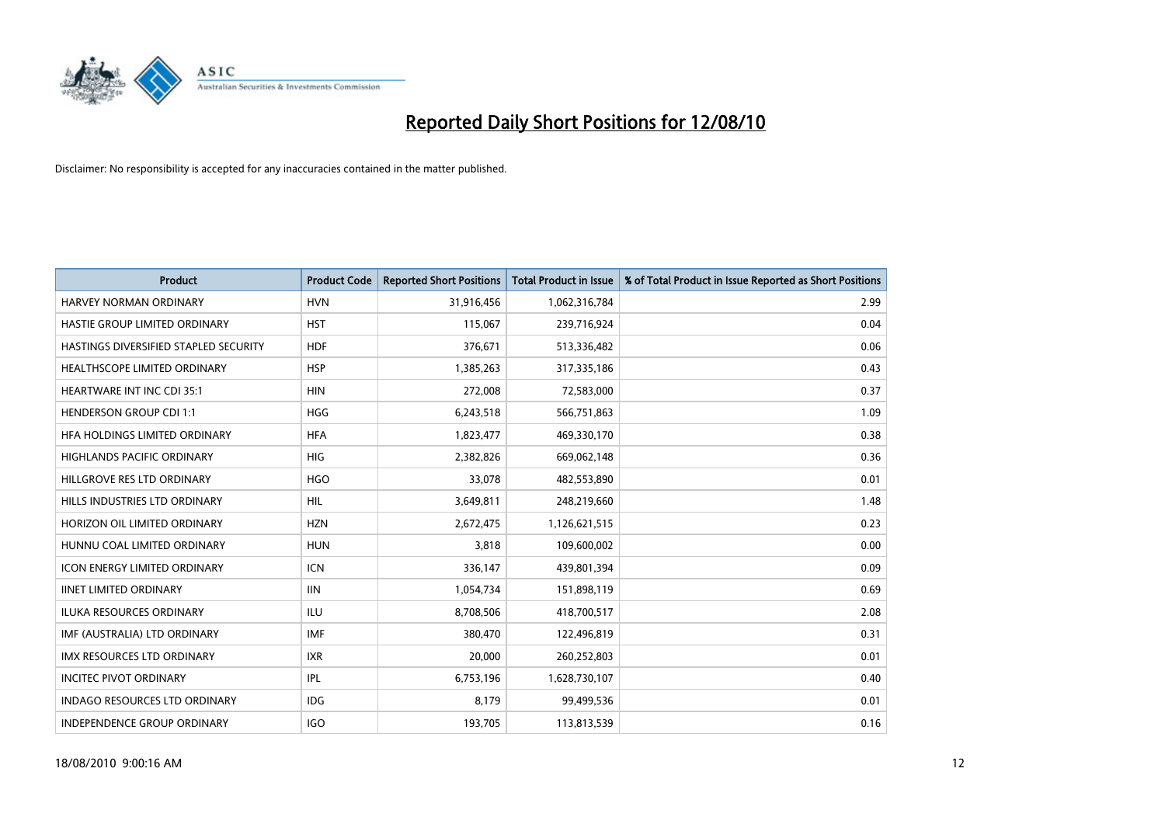

| <b>Product</b>                        | <b>Product Code</b> | <b>Reported Short Positions</b> | <b>Total Product in Issue</b> | % of Total Product in Issue Reported as Short Positions |
|---------------------------------------|---------------------|---------------------------------|-------------------------------|---------------------------------------------------------|
| <b>HARVEY NORMAN ORDINARY</b>         | <b>HVN</b>          | 31,916,456                      | 1,062,316,784                 | 2.99                                                    |
| HASTIE GROUP LIMITED ORDINARY         | <b>HST</b>          | 115,067                         | 239,716,924                   | 0.04                                                    |
| HASTINGS DIVERSIFIED STAPLED SECURITY | <b>HDF</b>          | 376,671                         | 513,336,482                   | 0.06                                                    |
| HEALTHSCOPE LIMITED ORDINARY          | <b>HSP</b>          | 1,385,263                       | 317,335,186                   | 0.43                                                    |
| <b>HEARTWARE INT INC CDI 35:1</b>     | <b>HIN</b>          | 272.008                         | 72,583,000                    | 0.37                                                    |
| <b>HENDERSON GROUP CDI 1:1</b>        | <b>HGG</b>          | 6,243,518                       | 566,751,863                   | 1.09                                                    |
| HFA HOLDINGS LIMITED ORDINARY         | <b>HFA</b>          | 1,823,477                       | 469,330,170                   | 0.38                                                    |
| <b>HIGHLANDS PACIFIC ORDINARY</b>     | <b>HIG</b>          | 2,382,826                       | 669,062,148                   | 0.36                                                    |
| HILLGROVE RES LTD ORDINARY            | <b>HGO</b>          | 33,078                          | 482,553,890                   | 0.01                                                    |
| HILLS INDUSTRIES LTD ORDINARY         | <b>HIL</b>          | 3,649,811                       | 248,219,660                   | 1.48                                                    |
| HORIZON OIL LIMITED ORDINARY          | <b>HZN</b>          | 2,672,475                       | 1,126,621,515                 | 0.23                                                    |
| HUNNU COAL LIMITED ORDINARY           | <b>HUN</b>          | 3,818                           | 109,600,002                   | 0.00                                                    |
| <b>ICON ENERGY LIMITED ORDINARY</b>   | <b>ICN</b>          | 336,147                         | 439,801,394                   | 0.09                                                    |
| <b>IINET LIMITED ORDINARY</b>         | <b>IIN</b>          | 1,054,734                       | 151,898,119                   | 0.69                                                    |
| ILUKA RESOURCES ORDINARY              | <b>ILU</b>          | 8,708,506                       | 418,700,517                   | 2.08                                                    |
| IMF (AUSTRALIA) LTD ORDINARY          | <b>IMF</b>          | 380,470                         | 122,496,819                   | 0.31                                                    |
| <b>IMX RESOURCES LTD ORDINARY</b>     | <b>IXR</b>          | 20,000                          | 260,252,803                   | 0.01                                                    |
| <b>INCITEC PIVOT ORDINARY</b>         | IPL                 | 6,753,196                       | 1,628,730,107                 | 0.40                                                    |
| <b>INDAGO RESOURCES LTD ORDINARY</b>  | <b>IDG</b>          | 8,179                           | 99,499,536                    | 0.01                                                    |
| INDEPENDENCE GROUP ORDINARY           | <b>IGO</b>          | 193,705                         | 113,813,539                   | 0.16                                                    |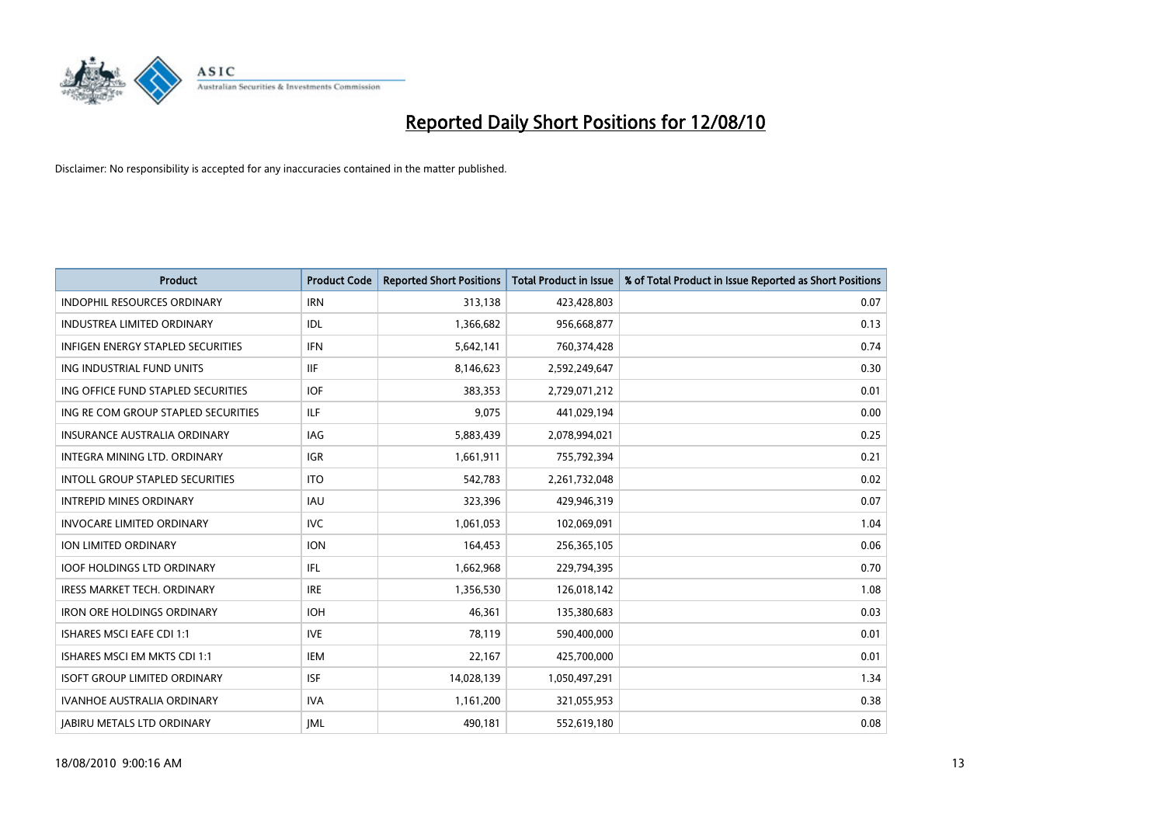

| <b>Product</b>                           | <b>Product Code</b> | <b>Reported Short Positions</b> | <b>Total Product in Issue</b> | % of Total Product in Issue Reported as Short Positions |
|------------------------------------------|---------------------|---------------------------------|-------------------------------|---------------------------------------------------------|
| <b>INDOPHIL RESOURCES ORDINARY</b>       | <b>IRN</b>          | 313,138                         | 423,428,803                   | 0.07                                                    |
| INDUSTREA LIMITED ORDINARY               | <b>IDL</b>          | 1,366,682                       | 956,668,877                   | 0.13                                                    |
| <b>INFIGEN ENERGY STAPLED SECURITIES</b> | <b>IFN</b>          | 5,642,141                       | 760,374,428                   | 0.74                                                    |
| ING INDUSTRIAL FUND UNITS                | <b>IIF</b>          | 8,146,623                       | 2,592,249,647                 | 0.30                                                    |
| ING OFFICE FUND STAPLED SECURITIES       | <b>IOF</b>          | 383,353                         | 2,729,071,212                 | 0.01                                                    |
| ING RE COM GROUP STAPLED SECURITIES      | <b>ILF</b>          | 9,075                           | 441,029,194                   | 0.00                                                    |
| <b>INSURANCE AUSTRALIA ORDINARY</b>      | <b>IAG</b>          | 5,883,439                       | 2,078,994,021                 | 0.25                                                    |
| INTEGRA MINING LTD, ORDINARY             | <b>IGR</b>          | 1,661,911                       | 755,792,394                   | 0.21                                                    |
| INTOLL GROUP STAPLED SECURITIES          | <b>ITO</b>          | 542,783                         | 2,261,732,048                 | 0.02                                                    |
| <b>INTREPID MINES ORDINARY</b>           | <b>IAU</b>          | 323,396                         | 429,946,319                   | 0.07                                                    |
| <b>INVOCARE LIMITED ORDINARY</b>         | <b>IVC</b>          | 1,061,053                       | 102,069,091                   | 1.04                                                    |
| ION LIMITED ORDINARY                     | <b>ION</b>          | 164,453                         | 256,365,105                   | 0.06                                                    |
| <b>IOOF HOLDINGS LTD ORDINARY</b>        | <b>IFL</b>          | 1,662,968                       | 229,794,395                   | 0.70                                                    |
| <b>IRESS MARKET TECH. ORDINARY</b>       | <b>IRE</b>          | 1,356,530                       | 126,018,142                   | 1.08                                                    |
| <b>IRON ORE HOLDINGS ORDINARY</b>        | <b>IOH</b>          | 46,361                          | 135,380,683                   | 0.03                                                    |
| ISHARES MSCI EAFE CDI 1:1                | <b>IVE</b>          | 78,119                          | 590,400,000                   | 0.01                                                    |
| ISHARES MSCI EM MKTS CDI 1:1             | <b>IEM</b>          | 22,167                          | 425,700,000                   | 0.01                                                    |
| <b>ISOFT GROUP LIMITED ORDINARY</b>      | <b>ISF</b>          | 14,028,139                      | 1,050,497,291                 | 1.34                                                    |
| <b>IVANHOE AUSTRALIA ORDINARY</b>        | <b>IVA</b>          | 1,161,200                       | 321,055,953                   | 0.38                                                    |
| <b>JABIRU METALS LTD ORDINARY</b>        | <b>IML</b>          | 490.181                         | 552,619,180                   | 0.08                                                    |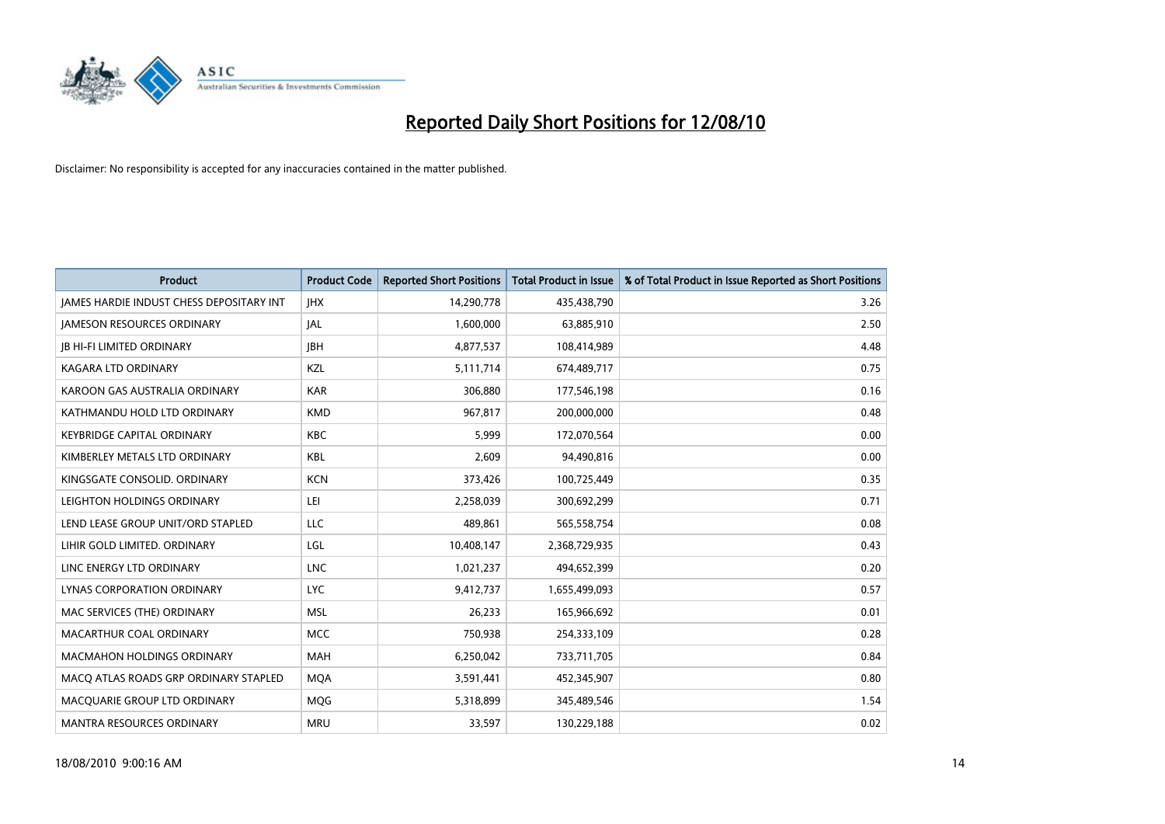

| <b>Product</b>                                  | <b>Product Code</b> | <b>Reported Short Positions</b> | <b>Total Product in Issue</b> | % of Total Product in Issue Reported as Short Positions |
|-------------------------------------------------|---------------------|---------------------------------|-------------------------------|---------------------------------------------------------|
| <b>JAMES HARDIE INDUST CHESS DEPOSITARY INT</b> | <b>IHX</b>          | 14,290,778                      | 435,438,790                   | 3.26                                                    |
| <b>JAMESON RESOURCES ORDINARY</b>               | <b>JAL</b>          | 1,600,000                       | 63,885,910                    | 2.50                                                    |
| <b>JB HI-FI LIMITED ORDINARY</b>                | <b>IBH</b>          | 4,877,537                       | 108,414,989                   | 4.48                                                    |
| KAGARA LTD ORDINARY                             | KZL                 | 5,111,714                       | 674,489,717                   | 0.75                                                    |
| KAROON GAS AUSTRALIA ORDINARY                   | <b>KAR</b>          | 306,880                         | 177,546,198                   | 0.16                                                    |
| KATHMANDU HOLD LTD ORDINARY                     | <b>KMD</b>          | 967,817                         | 200,000,000                   | 0.48                                                    |
| <b>KEYBRIDGE CAPITAL ORDINARY</b>               | <b>KBC</b>          | 5.999                           | 172,070,564                   | 0.00                                                    |
| KIMBERLEY METALS LTD ORDINARY                   | <b>KBL</b>          | 2,609                           | 94,490,816                    | 0.00                                                    |
| KINGSGATE CONSOLID. ORDINARY                    | <b>KCN</b>          | 373,426                         | 100,725,449                   | 0.35                                                    |
| LEIGHTON HOLDINGS ORDINARY                      | LEI                 | 2,258,039                       | 300,692,299                   | 0.71                                                    |
| LEND LEASE GROUP UNIT/ORD STAPLED               | LLC                 | 489,861                         | 565,558,754                   | 0.08                                                    |
| LIHIR GOLD LIMITED. ORDINARY                    | LGL                 | 10,408,147                      | 2,368,729,935                 | 0.43                                                    |
| LINC ENERGY LTD ORDINARY                        | <b>LNC</b>          | 1,021,237                       | 494,652,399                   | 0.20                                                    |
| LYNAS CORPORATION ORDINARY                      | <b>LYC</b>          | 9,412,737                       | 1,655,499,093                 | 0.57                                                    |
| MAC SERVICES (THE) ORDINARY                     | <b>MSL</b>          | 26,233                          | 165,966,692                   | 0.01                                                    |
| MACARTHUR COAL ORDINARY                         | <b>MCC</b>          | 750,938                         | 254,333,109                   | 0.28                                                    |
| <b>MACMAHON HOLDINGS ORDINARY</b>               | <b>MAH</b>          | 6,250,042                       | 733,711,705                   | 0.84                                                    |
| MACQ ATLAS ROADS GRP ORDINARY STAPLED           | <b>MOA</b>          | 3,591,441                       | 452,345,907                   | 0.80                                                    |
| MACOUARIE GROUP LTD ORDINARY                    | <b>MOG</b>          | 5,318,899                       | 345,489,546                   | 1.54                                                    |
| <b>MANTRA RESOURCES ORDINARY</b>                | <b>MRU</b>          | 33,597                          | 130,229,188                   | 0.02                                                    |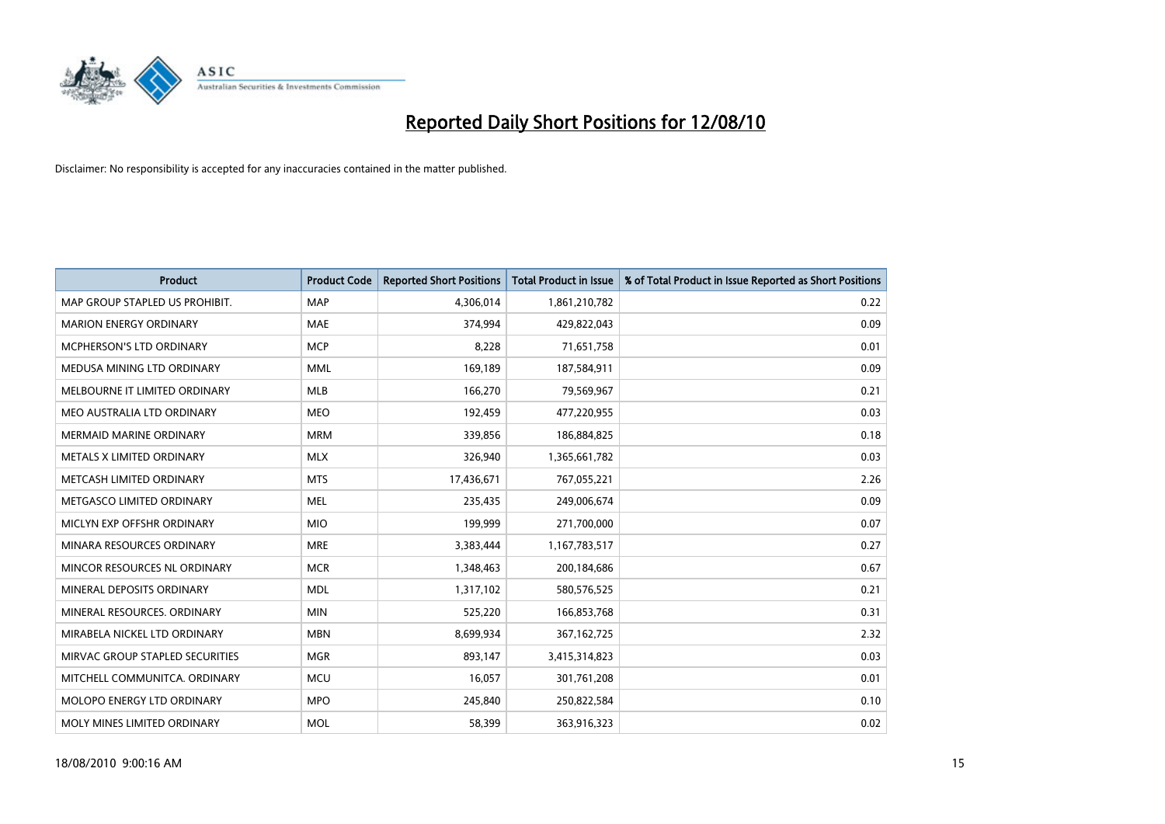

| <b>Product</b>                  | <b>Product Code</b> | <b>Reported Short Positions</b> | Total Product in Issue | % of Total Product in Issue Reported as Short Positions |
|---------------------------------|---------------------|---------------------------------|------------------------|---------------------------------------------------------|
| MAP GROUP STAPLED US PROHIBIT.  | <b>MAP</b>          | 4,306,014                       | 1,861,210,782          | 0.22                                                    |
| <b>MARION ENERGY ORDINARY</b>   | <b>MAE</b>          | 374,994                         | 429,822,043            | 0.09                                                    |
| <b>MCPHERSON'S LTD ORDINARY</b> | <b>MCP</b>          | 8,228                           | 71,651,758             | 0.01                                                    |
| MEDUSA MINING LTD ORDINARY      | <b>MML</b>          | 169,189                         | 187,584,911            | 0.09                                                    |
| MELBOURNE IT LIMITED ORDINARY   | <b>MLB</b>          | 166,270                         | 79,569,967             | 0.21                                                    |
| MEO AUSTRALIA LTD ORDINARY      | <b>MEO</b>          | 192,459                         | 477,220,955            | 0.03                                                    |
| <b>MERMAID MARINE ORDINARY</b>  | <b>MRM</b>          | 339,856                         | 186,884,825            | 0.18                                                    |
| METALS X LIMITED ORDINARY       | <b>MLX</b>          | 326,940                         | 1,365,661,782          | 0.03                                                    |
| METCASH LIMITED ORDINARY        | <b>MTS</b>          | 17,436,671                      | 767,055,221            | 2.26                                                    |
| METGASCO LIMITED ORDINARY       | <b>MEL</b>          | 235,435                         | 249,006,674            | 0.09                                                    |
| MICLYN EXP OFFSHR ORDINARY      | <b>MIO</b>          | 199,999                         | 271,700,000            | 0.07                                                    |
| MINARA RESOURCES ORDINARY       | <b>MRE</b>          | 3,383,444                       | 1,167,783,517          | 0.27                                                    |
| MINCOR RESOURCES NL ORDINARY    | <b>MCR</b>          | 1,348,463                       | 200,184,686            | 0.67                                                    |
| MINERAL DEPOSITS ORDINARY       | <b>MDL</b>          | 1,317,102                       | 580,576,525            | 0.21                                                    |
| MINERAL RESOURCES, ORDINARY     | <b>MIN</b>          | 525,220                         | 166,853,768            | 0.31                                                    |
| MIRABELA NICKEL LTD ORDINARY    | <b>MBN</b>          | 8,699,934                       | 367, 162, 725          | 2.32                                                    |
| MIRVAC GROUP STAPLED SECURITIES | <b>MGR</b>          | 893,147                         | 3,415,314,823          | 0.03                                                    |
| MITCHELL COMMUNITCA. ORDINARY   | <b>MCU</b>          | 16,057                          | 301,761,208            | 0.01                                                    |
| MOLOPO ENERGY LTD ORDINARY      | <b>MPO</b>          | 245,840                         | 250,822,584            | 0.10                                                    |
| MOLY MINES LIMITED ORDINARY     | <b>MOL</b>          | 58,399                          | 363,916,323            | 0.02                                                    |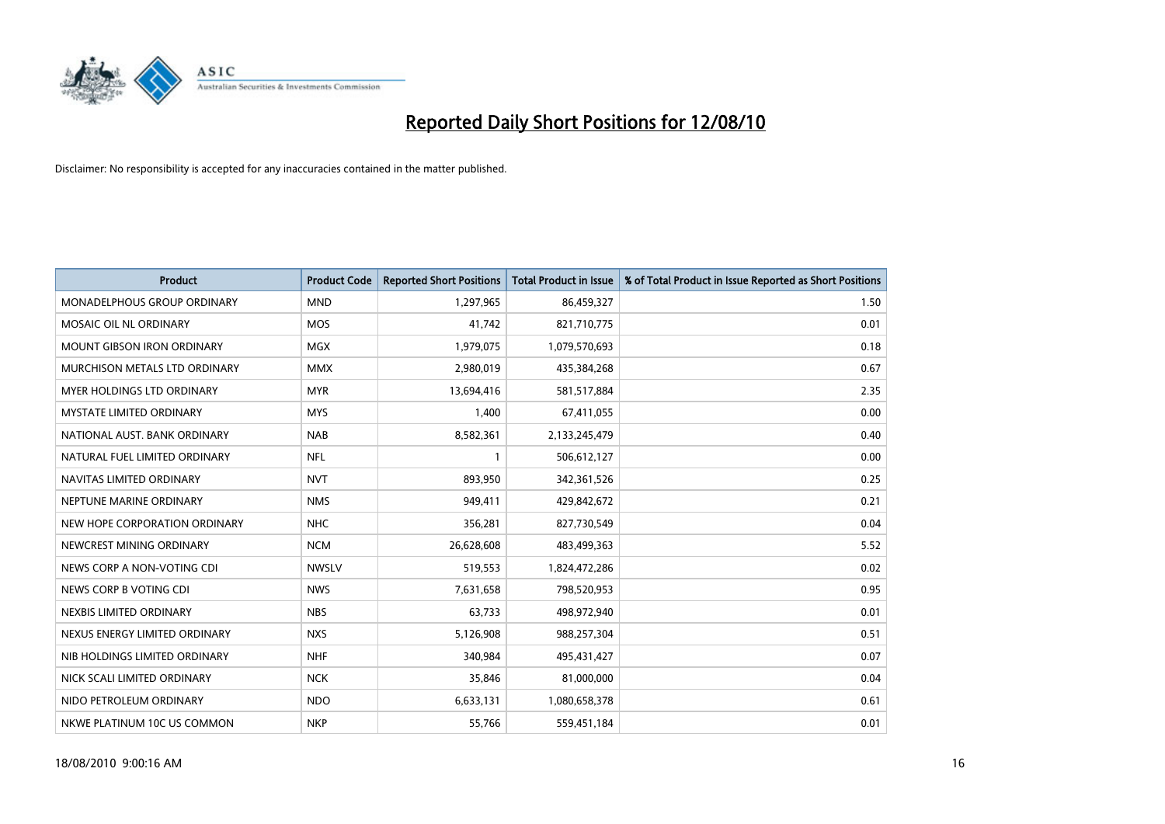

| <b>Product</b>                     | <b>Product Code</b> | <b>Reported Short Positions</b> | <b>Total Product in Issue</b> | % of Total Product in Issue Reported as Short Positions |
|------------------------------------|---------------------|---------------------------------|-------------------------------|---------------------------------------------------------|
| <b>MONADELPHOUS GROUP ORDINARY</b> | <b>MND</b>          | 1,297,965                       | 86,459,327                    | 1.50                                                    |
| MOSAIC OIL NL ORDINARY             | <b>MOS</b>          | 41,742                          | 821,710,775                   | 0.01                                                    |
| <b>MOUNT GIBSON IRON ORDINARY</b>  | <b>MGX</b>          | 1,979,075                       | 1,079,570,693                 | 0.18                                                    |
| MURCHISON METALS LTD ORDINARY      | <b>MMX</b>          | 2,980,019                       | 435,384,268                   | 0.67                                                    |
| <b>MYER HOLDINGS LTD ORDINARY</b>  | <b>MYR</b>          | 13,694,416                      | 581,517,884                   | 2.35                                                    |
| <b>MYSTATE LIMITED ORDINARY</b>    | <b>MYS</b>          | 1,400                           | 67,411,055                    | 0.00                                                    |
| NATIONAL AUST. BANK ORDINARY       | <b>NAB</b>          | 8,582,361                       | 2,133,245,479                 | 0.40                                                    |
| NATURAL FUEL LIMITED ORDINARY      | <b>NFL</b>          |                                 | 506,612,127                   | 0.00                                                    |
| NAVITAS LIMITED ORDINARY           | <b>NVT</b>          | 893,950                         | 342,361,526                   | 0.25                                                    |
| NEPTUNE MARINE ORDINARY            | <b>NMS</b>          | 949,411                         | 429,842,672                   | 0.21                                                    |
| NEW HOPE CORPORATION ORDINARY      | <b>NHC</b>          | 356,281                         | 827,730,549                   | 0.04                                                    |
| NEWCREST MINING ORDINARY           | <b>NCM</b>          | 26,628,608                      | 483,499,363                   | 5.52                                                    |
| NEWS CORP A NON-VOTING CDI         | <b>NWSLV</b>        | 519,553                         | 1,824,472,286                 | 0.02                                                    |
| NEWS CORP B VOTING CDI             | <b>NWS</b>          | 7,631,658                       | 798,520,953                   | 0.95                                                    |
| NEXBIS LIMITED ORDINARY            | <b>NBS</b>          | 63,733                          | 498,972,940                   | 0.01                                                    |
| NEXUS ENERGY LIMITED ORDINARY      | <b>NXS</b>          | 5,126,908                       | 988,257,304                   | 0.51                                                    |
| NIB HOLDINGS LIMITED ORDINARY      | <b>NHF</b>          | 340,984                         | 495,431,427                   | 0.07                                                    |
| NICK SCALI LIMITED ORDINARY        | <b>NCK</b>          | 35,846                          | 81,000,000                    | 0.04                                                    |
| NIDO PETROLEUM ORDINARY            | <b>NDO</b>          | 6,633,131                       | 1,080,658,378                 | 0.61                                                    |
| NKWE PLATINUM 10C US COMMON        | <b>NKP</b>          | 55,766                          | 559,451,184                   | 0.01                                                    |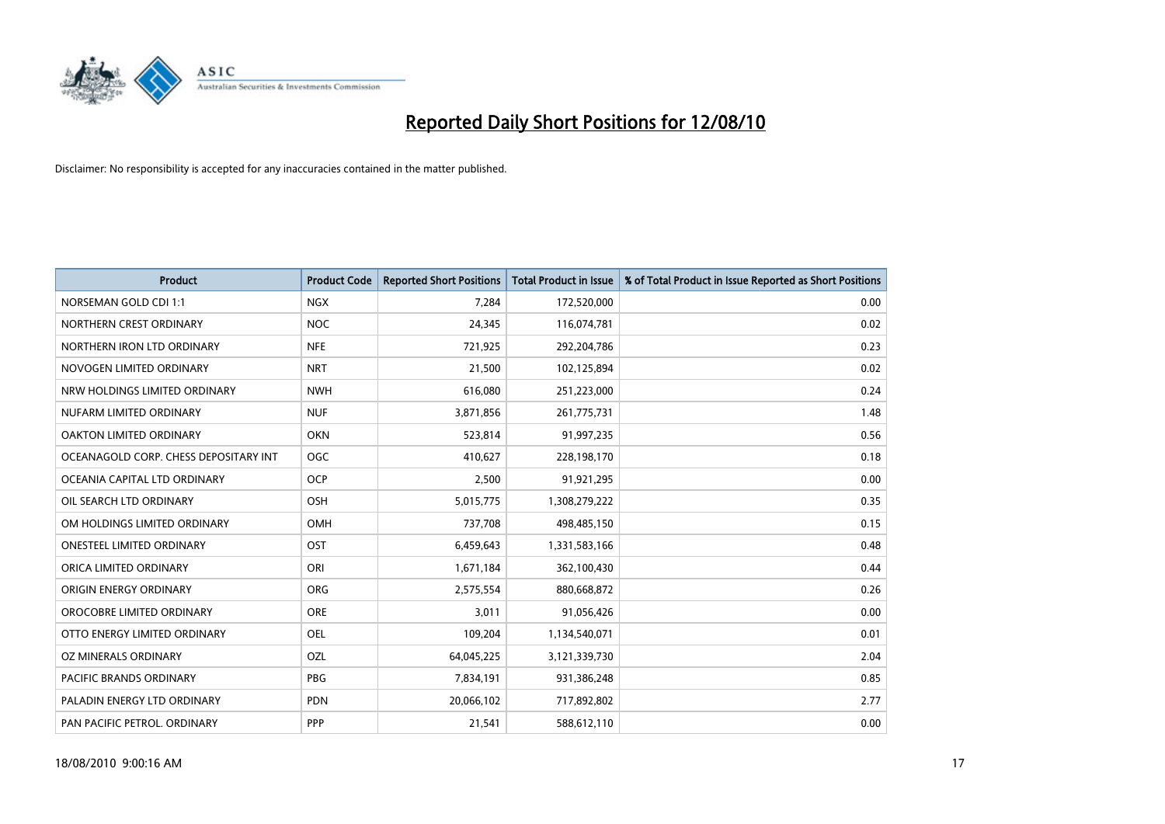

| <b>Product</b>                        | <b>Product Code</b> | <b>Reported Short Positions</b> | Total Product in Issue | % of Total Product in Issue Reported as Short Positions |
|---------------------------------------|---------------------|---------------------------------|------------------------|---------------------------------------------------------|
| <b>NORSEMAN GOLD CDI 1:1</b>          | <b>NGX</b>          | 7,284                           | 172,520,000            | 0.00                                                    |
| NORTHERN CREST ORDINARY               | <b>NOC</b>          | 24,345                          | 116,074,781            | 0.02                                                    |
| NORTHERN IRON LTD ORDINARY            | <b>NFE</b>          | 721,925                         | 292,204,786            | 0.23                                                    |
| NOVOGEN LIMITED ORDINARY              | <b>NRT</b>          | 21,500                          | 102,125,894            | 0.02                                                    |
| NRW HOLDINGS LIMITED ORDINARY         | <b>NWH</b>          | 616,080                         | 251,223,000            | 0.24                                                    |
| NUFARM LIMITED ORDINARY               | <b>NUF</b>          | 3,871,856                       | 261,775,731            | 1.48                                                    |
| OAKTON LIMITED ORDINARY               | <b>OKN</b>          | 523,814                         | 91,997,235             | 0.56                                                    |
| OCEANAGOLD CORP. CHESS DEPOSITARY INT | <b>OGC</b>          | 410,627                         | 228,198,170            | 0.18                                                    |
| OCEANIA CAPITAL LTD ORDINARY          | <b>OCP</b>          | 2,500                           | 91,921,295             | 0.00                                                    |
| OIL SEARCH LTD ORDINARY               | <b>OSH</b>          | 5,015,775                       | 1,308,279,222          | 0.35                                                    |
| OM HOLDINGS LIMITED ORDINARY          | OMH                 | 737,708                         | 498,485,150            | 0.15                                                    |
| <b>ONESTEEL LIMITED ORDINARY</b>      | OST                 | 6,459,643                       | 1,331,583,166          | 0.48                                                    |
| ORICA LIMITED ORDINARY                | ORI                 | 1,671,184                       | 362,100,430            | 0.44                                                    |
| ORIGIN ENERGY ORDINARY                | ORG                 | 2,575,554                       | 880,668,872            | 0.26                                                    |
| OROCOBRE LIMITED ORDINARY             | ORE                 | 3,011                           | 91,056,426             | 0.00                                                    |
| OTTO ENERGY LIMITED ORDINARY          | <b>OEL</b>          | 109,204                         | 1,134,540,071          | 0.01                                                    |
| OZ MINERALS ORDINARY                  | OZL                 | 64,045,225                      | 3,121,339,730          | 2.04                                                    |
| PACIFIC BRANDS ORDINARY               | <b>PBG</b>          | 7,834,191                       | 931,386,248            | 0.85                                                    |
| PALADIN ENERGY LTD ORDINARY           | <b>PDN</b>          | 20,066,102                      | 717,892,802            | 2.77                                                    |
| PAN PACIFIC PETROL. ORDINARY          | PPP                 | 21,541                          | 588,612,110            | 0.00                                                    |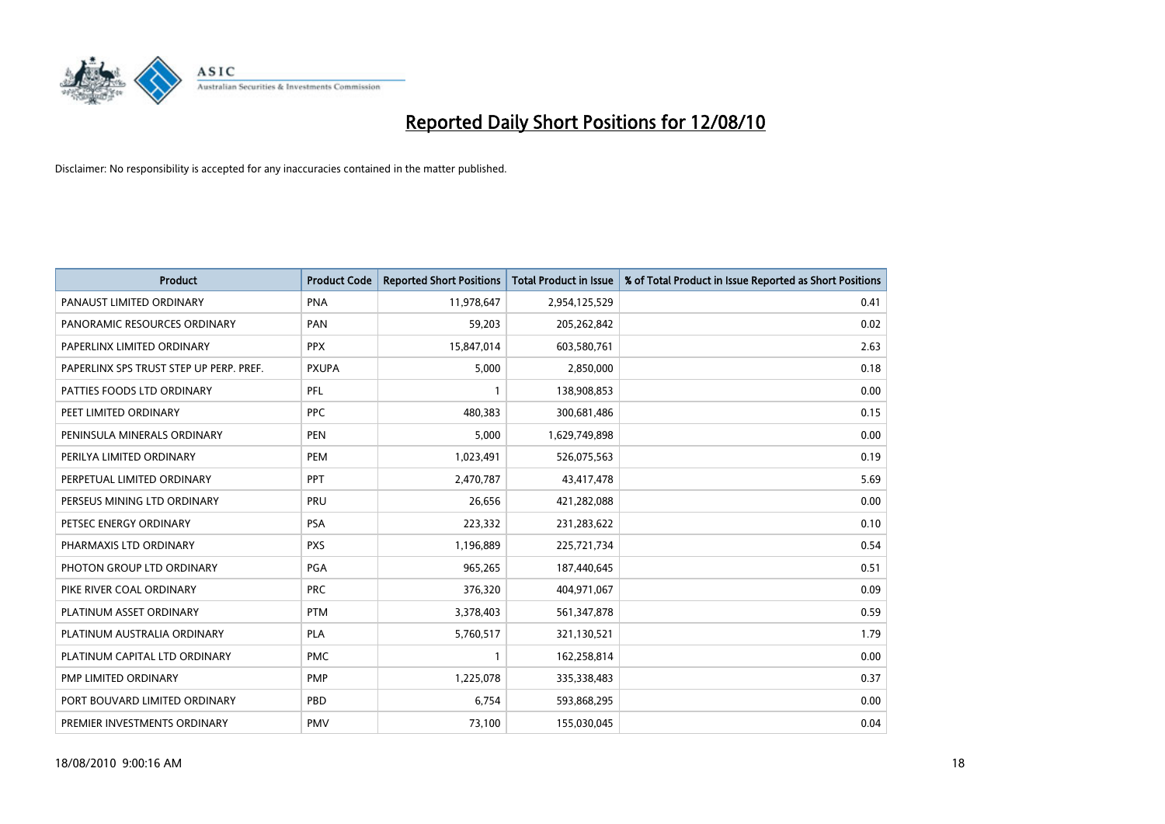

| <b>Product</b>                          | <b>Product Code</b> | <b>Reported Short Positions</b> | <b>Total Product in Issue</b> | % of Total Product in Issue Reported as Short Positions |
|-----------------------------------------|---------------------|---------------------------------|-------------------------------|---------------------------------------------------------|
| PANAUST LIMITED ORDINARY                | <b>PNA</b>          | 11,978,647                      | 2,954,125,529                 | 0.41                                                    |
| PANORAMIC RESOURCES ORDINARY            | PAN                 | 59,203                          | 205,262,842                   | 0.02                                                    |
| PAPERLINX LIMITED ORDINARY              | <b>PPX</b>          | 15,847,014                      | 603,580,761                   | 2.63                                                    |
| PAPERLINX SPS TRUST STEP UP PERP. PREF. | <b>PXUPA</b>        | 5,000                           | 2,850,000                     | 0.18                                                    |
| PATTIES FOODS LTD ORDINARY              | PFL                 |                                 | 138,908,853                   | 0.00                                                    |
| PEET LIMITED ORDINARY                   | <b>PPC</b>          | 480,383                         | 300,681,486                   | 0.15                                                    |
| PENINSULA MINERALS ORDINARY             | <b>PEN</b>          | 5,000                           | 1,629,749,898                 | 0.00                                                    |
| PERILYA LIMITED ORDINARY                | PEM                 | 1,023,491                       | 526,075,563                   | 0.19                                                    |
| PERPETUAL LIMITED ORDINARY              | PPT                 | 2,470,787                       | 43,417,478                    | 5.69                                                    |
| PERSEUS MINING LTD ORDINARY             | PRU                 | 26,656                          | 421,282,088                   | 0.00                                                    |
| PETSEC ENERGY ORDINARY                  | <b>PSA</b>          | 223,332                         | 231,283,622                   | 0.10                                                    |
| PHARMAXIS LTD ORDINARY                  | <b>PXS</b>          | 1,196,889                       | 225,721,734                   | 0.54                                                    |
| PHOTON GROUP LTD ORDINARY               | PGA                 | 965,265                         | 187,440,645                   | 0.51                                                    |
| PIKE RIVER COAL ORDINARY                | <b>PRC</b>          | 376,320                         | 404,971,067                   | 0.09                                                    |
| PLATINUM ASSET ORDINARY                 | <b>PTM</b>          | 3,378,403                       | 561,347,878                   | 0.59                                                    |
| PLATINUM AUSTRALIA ORDINARY             | <b>PLA</b>          | 5,760,517                       | 321,130,521                   | 1.79                                                    |
| PLATINUM CAPITAL LTD ORDINARY           | <b>PMC</b>          |                                 | 162,258,814                   | 0.00                                                    |
| PMP LIMITED ORDINARY                    | <b>PMP</b>          | 1,225,078                       | 335,338,483                   | 0.37                                                    |
| PORT BOUVARD LIMITED ORDINARY           | PBD                 | 6,754                           | 593,868,295                   | 0.00                                                    |
| PREMIER INVESTMENTS ORDINARY            | <b>PMV</b>          | 73,100                          | 155,030,045                   | 0.04                                                    |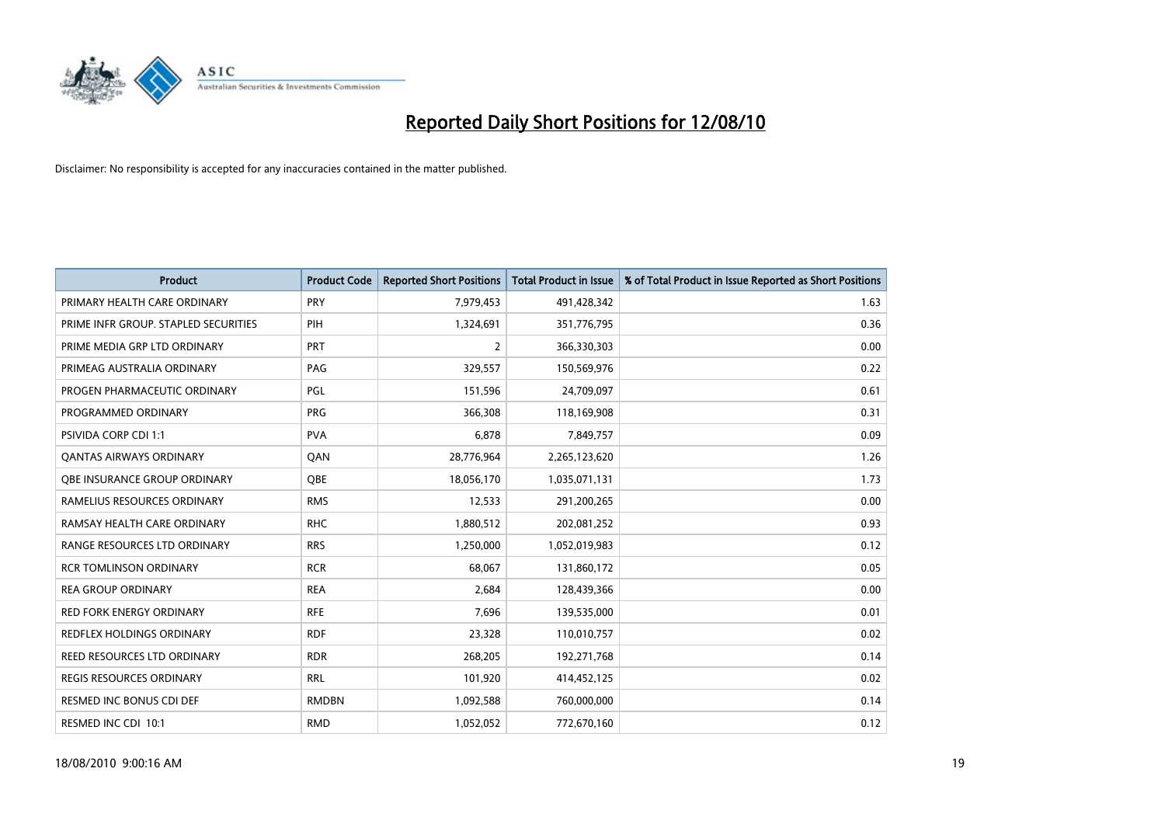

| <b>Product</b>                       | <b>Product Code</b> | <b>Reported Short Positions</b> | <b>Total Product in Issue</b> | % of Total Product in Issue Reported as Short Positions |
|--------------------------------------|---------------------|---------------------------------|-------------------------------|---------------------------------------------------------|
| PRIMARY HEALTH CARE ORDINARY         | <b>PRY</b>          | 7,979,453                       | 491,428,342                   | 1.63                                                    |
| PRIME INFR GROUP. STAPLED SECURITIES | PIH                 | 1,324,691                       | 351,776,795                   | 0.36                                                    |
| PRIME MEDIA GRP LTD ORDINARY         | <b>PRT</b>          | $\overline{2}$                  | 366,330,303                   | 0.00                                                    |
| PRIMEAG AUSTRALIA ORDINARY           | PAG                 | 329,557                         | 150,569,976                   | 0.22                                                    |
| PROGEN PHARMACEUTIC ORDINARY         | <b>PGL</b>          | 151,596                         | 24,709,097                    | 0.61                                                    |
| PROGRAMMED ORDINARY                  | PRG                 | 366,308                         | 118,169,908                   | 0.31                                                    |
| <b>PSIVIDA CORP CDI 1:1</b>          | <b>PVA</b>          | 6,878                           | 7,849,757                     | 0.09                                                    |
| <b>QANTAS AIRWAYS ORDINARY</b>       | QAN                 | 28,776,964                      | 2,265,123,620                 | 1.26                                                    |
| OBE INSURANCE GROUP ORDINARY         | <b>OBE</b>          | 18,056,170                      | 1,035,071,131                 | 1.73                                                    |
| RAMELIUS RESOURCES ORDINARY          | <b>RMS</b>          | 12,533                          | 291,200,265                   | 0.00                                                    |
| RAMSAY HEALTH CARE ORDINARY          | <b>RHC</b>          | 1,880,512                       | 202,081,252                   | 0.93                                                    |
| RANGE RESOURCES LTD ORDINARY         | <b>RRS</b>          | 1,250,000                       | 1,052,019,983                 | 0.12                                                    |
| <b>RCR TOMLINSON ORDINARY</b>        | <b>RCR</b>          | 68,067                          | 131,860,172                   | 0.05                                                    |
| <b>REA GROUP ORDINARY</b>            | <b>REA</b>          | 2,684                           | 128,439,366                   | 0.00                                                    |
| <b>RED FORK ENERGY ORDINARY</b>      | <b>RFE</b>          | 7,696                           | 139,535,000                   | 0.01                                                    |
| REDFLEX HOLDINGS ORDINARY            | <b>RDF</b>          | 23,328                          | 110,010,757                   | 0.02                                                    |
| REED RESOURCES LTD ORDINARY          | <b>RDR</b>          | 268,205                         | 192,271,768                   | 0.14                                                    |
| <b>REGIS RESOURCES ORDINARY</b>      | <b>RRL</b>          | 101,920                         | 414,452,125                   | 0.02                                                    |
| RESMED INC BONUS CDI DEF             | <b>RMDBN</b>        | 1,092,588                       | 760,000,000                   | 0.14                                                    |
| RESMED INC CDI 10:1                  | <b>RMD</b>          | 1,052,052                       | 772,670,160                   | 0.12                                                    |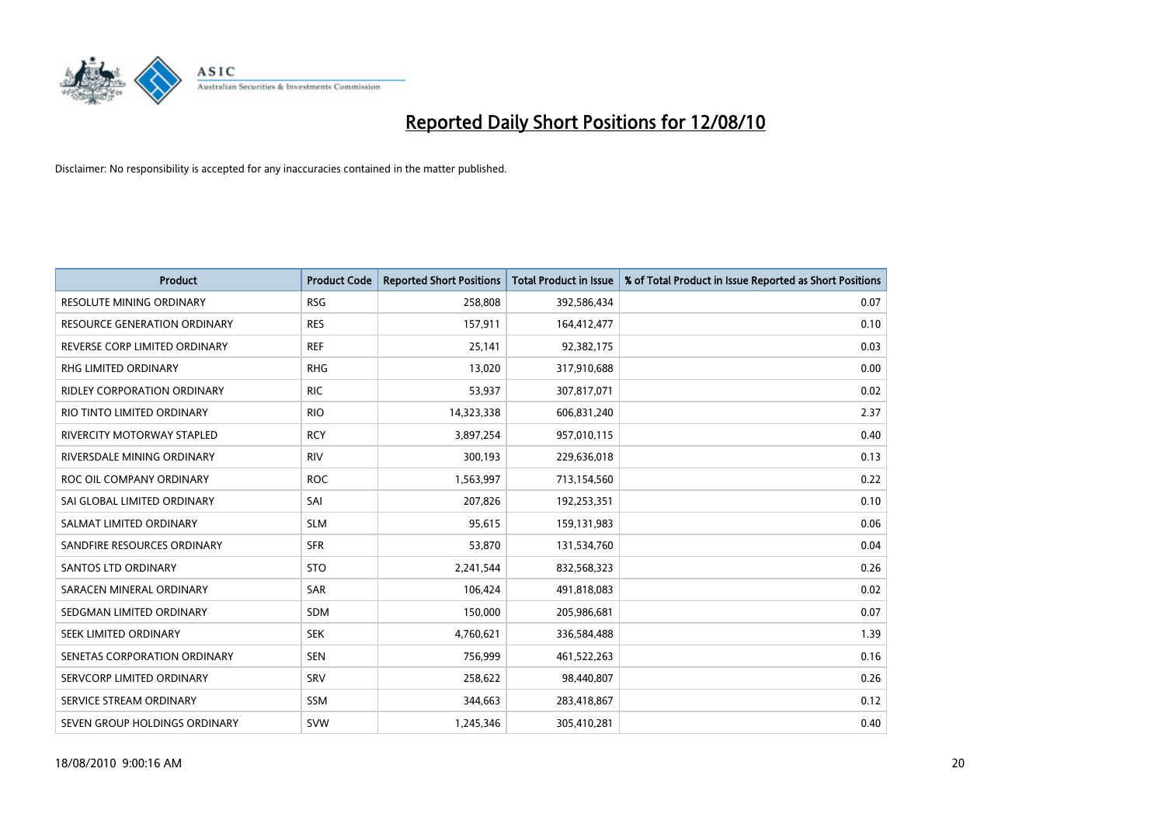

| <b>Product</b>                      | <b>Product Code</b> | <b>Reported Short Positions</b> | <b>Total Product in Issue</b> | % of Total Product in Issue Reported as Short Positions |
|-------------------------------------|---------------------|---------------------------------|-------------------------------|---------------------------------------------------------|
| <b>RESOLUTE MINING ORDINARY</b>     | <b>RSG</b>          | 258,808                         | 392,586,434                   | 0.07                                                    |
| <b>RESOURCE GENERATION ORDINARY</b> | <b>RES</b>          | 157,911                         | 164,412,477                   | 0.10                                                    |
| REVERSE CORP LIMITED ORDINARY       | <b>REF</b>          | 25,141                          | 92,382,175                    | 0.03                                                    |
| <b>RHG LIMITED ORDINARY</b>         | <b>RHG</b>          | 13,020                          | 317,910,688                   | 0.00                                                    |
| <b>RIDLEY CORPORATION ORDINARY</b>  | <b>RIC</b>          | 53,937                          | 307,817,071                   | 0.02                                                    |
| RIO TINTO LIMITED ORDINARY          | <b>RIO</b>          | 14,323,338                      | 606,831,240                   | 2.37                                                    |
| RIVERCITY MOTORWAY STAPLED          | <b>RCY</b>          | 3,897,254                       | 957,010,115                   | 0.40                                                    |
| RIVERSDALE MINING ORDINARY          | <b>RIV</b>          | 300,193                         | 229,636,018                   | 0.13                                                    |
| ROC OIL COMPANY ORDINARY            | <b>ROC</b>          | 1,563,997                       | 713,154,560                   | 0.22                                                    |
| SAI GLOBAL LIMITED ORDINARY         | SAI                 | 207,826                         | 192,253,351                   | 0.10                                                    |
| SALMAT LIMITED ORDINARY             | <b>SLM</b>          | 95,615                          | 159,131,983                   | 0.06                                                    |
| SANDFIRE RESOURCES ORDINARY         | <b>SFR</b>          | 53,870                          | 131,534,760                   | 0.04                                                    |
| <b>SANTOS LTD ORDINARY</b>          | <b>STO</b>          | 2,241,544                       | 832,568,323                   | 0.26                                                    |
| SARACEN MINERAL ORDINARY            | <b>SAR</b>          | 106,424                         | 491,818,083                   | 0.02                                                    |
| SEDGMAN LIMITED ORDINARY            | <b>SDM</b>          | 150,000                         | 205,986,681                   | 0.07                                                    |
| SEEK LIMITED ORDINARY               | <b>SEK</b>          | 4,760,621                       | 336,584,488                   | 1.39                                                    |
| SENETAS CORPORATION ORDINARY        | <b>SEN</b>          | 756,999                         | 461,522,263                   | 0.16                                                    |
| SERVCORP LIMITED ORDINARY           | SRV                 | 258,622                         | 98,440,807                    | 0.26                                                    |
| SERVICE STREAM ORDINARY             | SSM                 | 344,663                         | 283,418,867                   | 0.12                                                    |
| SEVEN GROUP HOLDINGS ORDINARY       | <b>SVW</b>          | 1,245,346                       | 305,410,281                   | 0.40                                                    |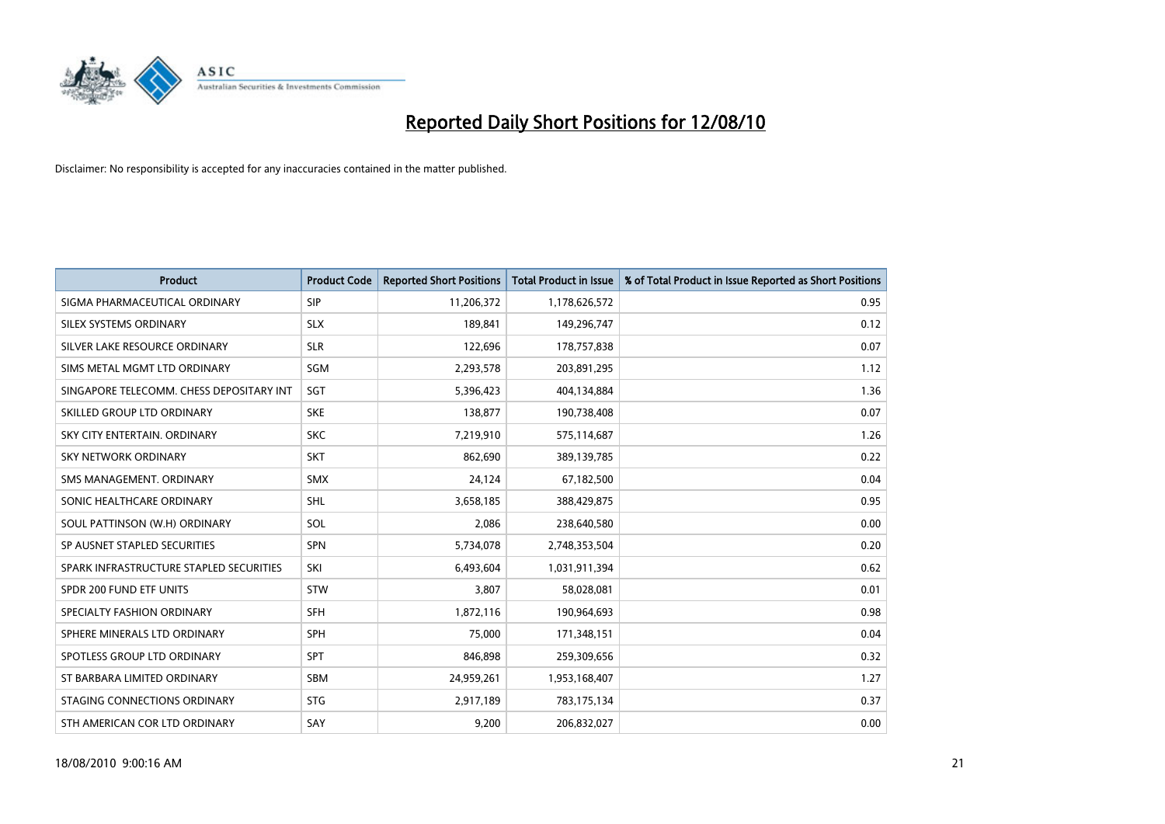

| <b>Product</b>                           | <b>Product Code</b> | <b>Reported Short Positions</b> | <b>Total Product in Issue</b> | % of Total Product in Issue Reported as Short Positions |
|------------------------------------------|---------------------|---------------------------------|-------------------------------|---------------------------------------------------------|
| SIGMA PHARMACEUTICAL ORDINARY            | SIP                 | 11,206,372                      | 1,178,626,572                 | 0.95                                                    |
| SILEX SYSTEMS ORDINARY                   | <b>SLX</b>          | 189,841                         | 149,296,747                   | 0.12                                                    |
| SILVER LAKE RESOURCE ORDINARY            | <b>SLR</b>          | 122,696                         | 178,757,838                   | 0.07                                                    |
| SIMS METAL MGMT LTD ORDINARY             | <b>SGM</b>          | 2,293,578                       | 203,891,295                   | 1.12                                                    |
| SINGAPORE TELECOMM. CHESS DEPOSITARY INT | SGT                 | 5,396,423                       | 404,134,884                   | 1.36                                                    |
| SKILLED GROUP LTD ORDINARY               | <b>SKE</b>          | 138,877                         | 190,738,408                   | 0.07                                                    |
| SKY CITY ENTERTAIN, ORDINARY             | <b>SKC</b>          | 7,219,910                       | 575,114,687                   | 1.26                                                    |
| SKY NETWORK ORDINARY                     | <b>SKT</b>          | 862,690                         | 389,139,785                   | 0.22                                                    |
| SMS MANAGEMENT, ORDINARY                 | <b>SMX</b>          | 24,124                          | 67,182,500                    | 0.04                                                    |
| SONIC HEALTHCARE ORDINARY                | <b>SHL</b>          | 3,658,185                       | 388,429,875                   | 0.95                                                    |
| SOUL PATTINSON (W.H) ORDINARY            | SOL                 | 2,086                           | 238,640,580                   | 0.00                                                    |
| SP AUSNET STAPLED SECURITIES             | SPN                 | 5,734,078                       | 2,748,353,504                 | 0.20                                                    |
| SPARK INFRASTRUCTURE STAPLED SECURITIES  | SKI                 | 6,493,604                       | 1,031,911,394                 | 0.62                                                    |
| SPDR 200 FUND ETF UNITS                  | <b>STW</b>          | 3,807                           | 58,028,081                    | 0.01                                                    |
| SPECIALTY FASHION ORDINARY               | <b>SFH</b>          | 1,872,116                       | 190,964,693                   | 0.98                                                    |
| SPHERE MINERALS LTD ORDINARY             | <b>SPH</b>          | 75,000                          | 171,348,151                   | 0.04                                                    |
| SPOTLESS GROUP LTD ORDINARY              | SPT                 | 846,898                         | 259,309,656                   | 0.32                                                    |
| ST BARBARA LIMITED ORDINARY              | <b>SBM</b>          | 24,959,261                      | 1,953,168,407                 | 1.27                                                    |
| STAGING CONNECTIONS ORDINARY             | <b>STG</b>          | 2,917,189                       | 783,175,134                   | 0.37                                                    |
| STH AMERICAN COR LTD ORDINARY            | SAY                 | 9,200                           | 206,832,027                   | 0.00                                                    |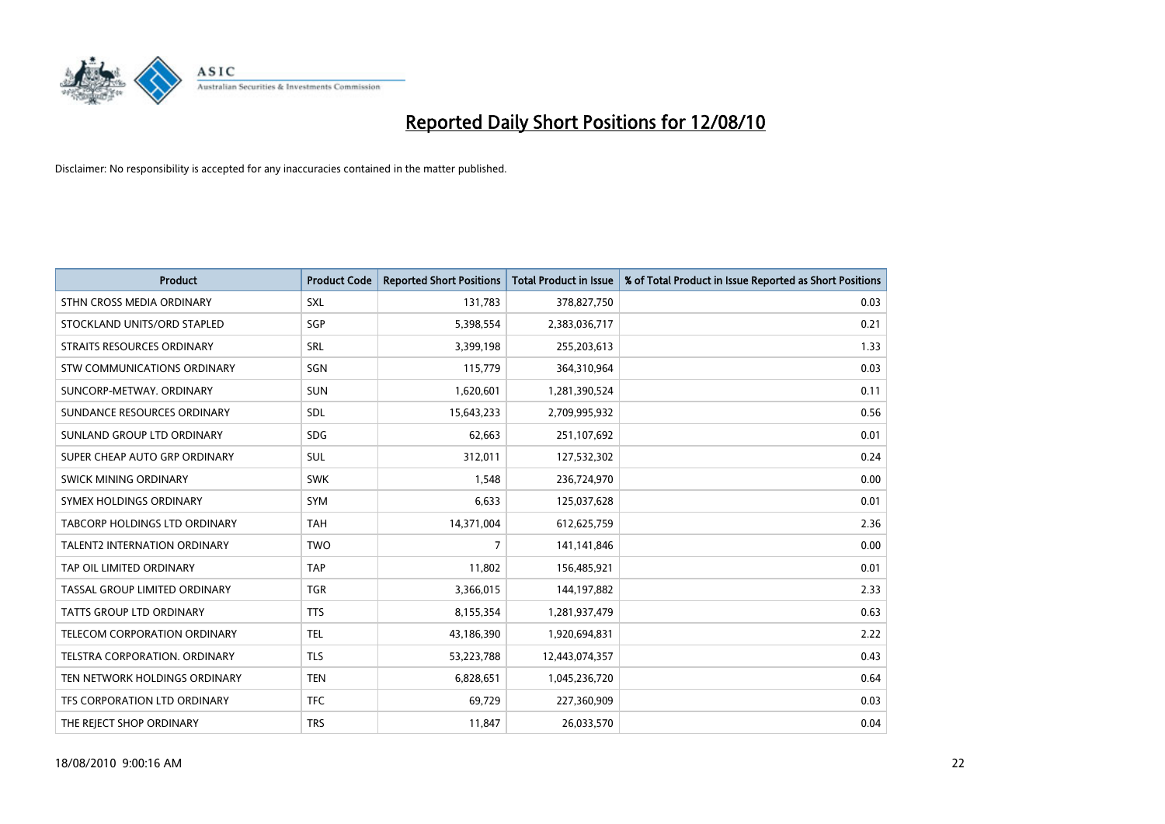

| <b>Product</b>                      | <b>Product Code</b> | <b>Reported Short Positions</b> | <b>Total Product in Issue</b> | % of Total Product in Issue Reported as Short Positions |
|-------------------------------------|---------------------|---------------------------------|-------------------------------|---------------------------------------------------------|
| STHN CROSS MEDIA ORDINARY           | SXL                 | 131,783                         | 378,827,750                   | 0.03                                                    |
| STOCKLAND UNITS/ORD STAPLED         | SGP                 | 5,398,554                       | 2,383,036,717                 | 0.21                                                    |
| <b>STRAITS RESOURCES ORDINARY</b>   | SRL                 | 3,399,198                       | 255,203,613                   | 1.33                                                    |
| STW COMMUNICATIONS ORDINARY         | SGN                 | 115,779                         | 364,310,964                   | 0.03                                                    |
| SUNCORP-METWAY, ORDINARY            | <b>SUN</b>          | 1,620,601                       | 1,281,390,524                 | 0.11                                                    |
| SUNDANCE RESOURCES ORDINARY         | SDL                 | 15,643,233                      | 2,709,995,932                 | 0.56                                                    |
| SUNLAND GROUP LTD ORDINARY          | <b>SDG</b>          | 62,663                          | 251,107,692                   | 0.01                                                    |
| SUPER CHEAP AUTO GRP ORDINARY       | <b>SUL</b>          | 312,011                         | 127,532,302                   | 0.24                                                    |
| SWICK MINING ORDINARY               | <b>SWK</b>          | 1,548                           | 236,724,970                   | 0.00                                                    |
| SYMEX HOLDINGS ORDINARY             | SYM                 | 6,633                           | 125,037,628                   | 0.01                                                    |
| TABCORP HOLDINGS LTD ORDINARY       | <b>TAH</b>          | 14,371,004                      | 612,625,759                   | 2.36                                                    |
| <b>TALENT2 INTERNATION ORDINARY</b> | <b>TWO</b>          | $\overline{7}$                  | 141,141,846                   | 0.00                                                    |
| TAP OIL LIMITED ORDINARY            | TAP                 | 11,802                          | 156,485,921                   | 0.01                                                    |
| TASSAL GROUP LIMITED ORDINARY       | <b>TGR</b>          | 3,366,015                       | 144,197,882                   | 2.33                                                    |
| <b>TATTS GROUP LTD ORDINARY</b>     | <b>TTS</b>          | 8,155,354                       | 1,281,937,479                 | 0.63                                                    |
| TELECOM CORPORATION ORDINARY        | <b>TEL</b>          | 43,186,390                      | 1,920,694,831                 | 2.22                                                    |
| TELSTRA CORPORATION. ORDINARY       | <b>TLS</b>          | 53,223,788                      | 12,443,074,357                | 0.43                                                    |
| TEN NETWORK HOLDINGS ORDINARY       | <b>TEN</b>          | 6,828,651                       | 1,045,236,720                 | 0.64                                                    |
| TFS CORPORATION LTD ORDINARY        | <b>TFC</b>          | 69,729                          | 227,360,909                   | 0.03                                                    |
| THE REJECT SHOP ORDINARY            | <b>TRS</b>          | 11,847                          | 26,033,570                    | 0.04                                                    |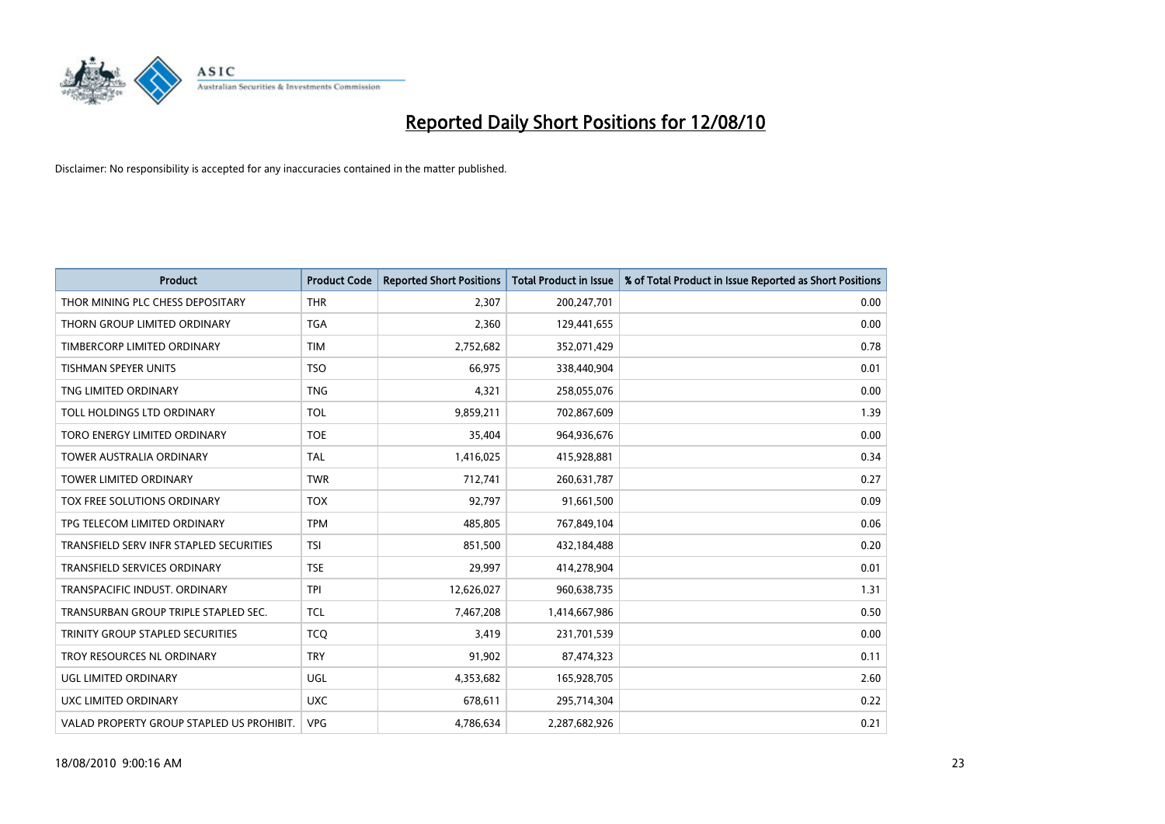

| <b>Product</b>                            | <b>Product Code</b> | <b>Reported Short Positions</b> | Total Product in Issue | % of Total Product in Issue Reported as Short Positions |
|-------------------------------------------|---------------------|---------------------------------|------------------------|---------------------------------------------------------|
| THOR MINING PLC CHESS DEPOSITARY          | <b>THR</b>          | 2,307                           | 200,247,701            | 0.00                                                    |
| THORN GROUP LIMITED ORDINARY              | <b>TGA</b>          | 2,360                           | 129,441,655            | 0.00                                                    |
| TIMBERCORP LIMITED ORDINARY               | <b>TIM</b>          | 2,752,682                       | 352,071,429            | 0.78                                                    |
| TISHMAN SPEYER UNITS                      | <b>TSO</b>          | 66,975                          | 338,440,904            | 0.01                                                    |
| TNG LIMITED ORDINARY                      | <b>TNG</b>          | 4,321                           | 258,055,076            | 0.00                                                    |
| TOLL HOLDINGS LTD ORDINARY                | <b>TOL</b>          | 9,859,211                       | 702,867,609            | 1.39                                                    |
| TORO ENERGY LIMITED ORDINARY              | <b>TOE</b>          | 35,404                          | 964,936,676            | 0.00                                                    |
| <b>TOWER AUSTRALIA ORDINARY</b>           | <b>TAL</b>          | 1,416,025                       | 415,928,881            | 0.34                                                    |
| TOWER LIMITED ORDINARY                    | <b>TWR</b>          | 712,741                         | 260,631,787            | 0.27                                                    |
| TOX FREE SOLUTIONS ORDINARY               | <b>TOX</b>          | 92,797                          | 91,661,500             | 0.09                                                    |
| TPG TELECOM LIMITED ORDINARY              | <b>TPM</b>          | 485,805                         | 767,849,104            | 0.06                                                    |
| TRANSFIELD SERV INFR STAPLED SECURITIES   | <b>TSI</b>          | 851,500                         | 432,184,488            | 0.20                                                    |
| TRANSFIELD SERVICES ORDINARY              | <b>TSE</b>          | 29,997                          | 414,278,904            | 0.01                                                    |
| TRANSPACIFIC INDUST, ORDINARY             | <b>TPI</b>          | 12,626,027                      | 960,638,735            | 1.31                                                    |
| TRANSURBAN GROUP TRIPLE STAPLED SEC.      | <b>TCL</b>          | 7,467,208                       | 1,414,667,986          | 0.50                                                    |
| TRINITY GROUP STAPLED SECURITIES          | <b>TCO</b>          | 3,419                           | 231,701,539            | 0.00                                                    |
| TROY RESOURCES NL ORDINARY                | <b>TRY</b>          | 91,902                          | 87,474,323             | 0.11                                                    |
| UGL LIMITED ORDINARY                      | UGL                 | 4,353,682                       | 165,928,705            | 2.60                                                    |
| <b>UXC LIMITED ORDINARY</b>               | <b>UXC</b>          | 678,611                         | 295,714,304            | 0.22                                                    |
| VALAD PROPERTY GROUP STAPLED US PROHIBIT. | <b>VPG</b>          | 4,786,634                       | 2,287,682,926          | 0.21                                                    |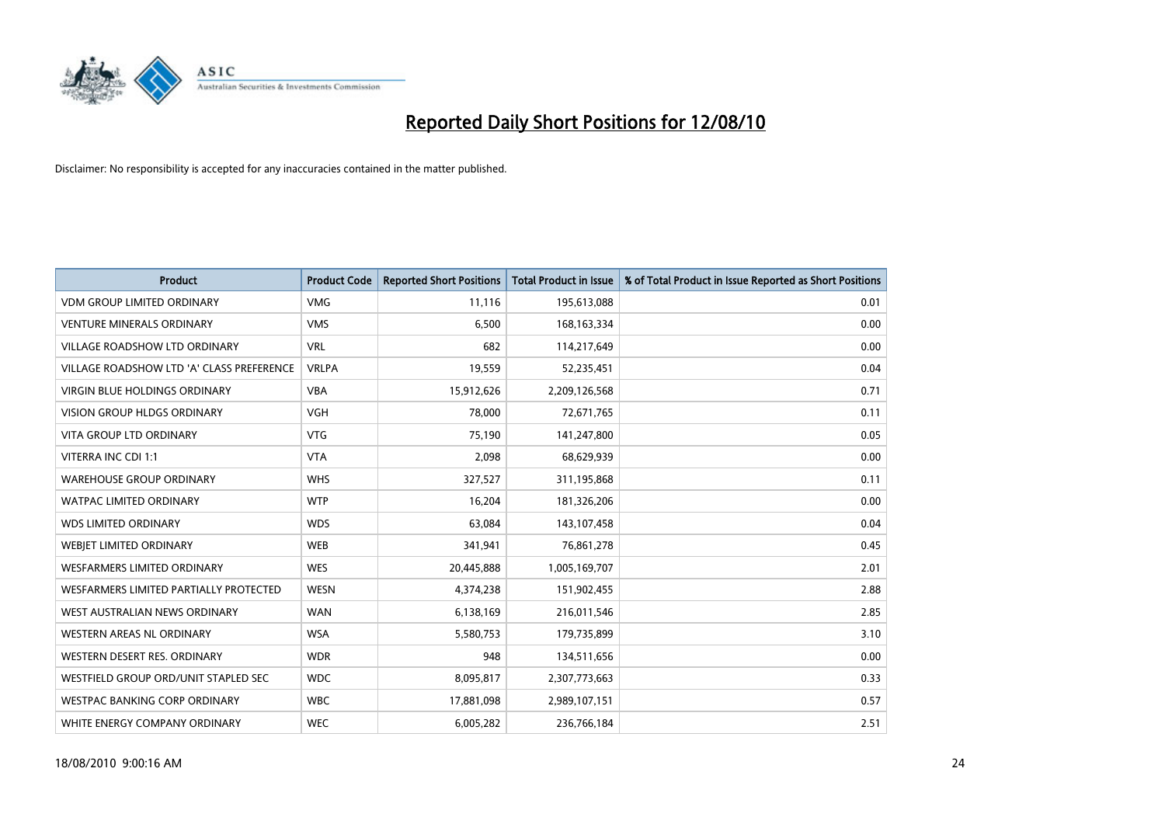

| <b>Product</b>                            | <b>Product Code</b> | <b>Reported Short Positions</b> | Total Product in Issue | % of Total Product in Issue Reported as Short Positions |
|-------------------------------------------|---------------------|---------------------------------|------------------------|---------------------------------------------------------|
| <b>VDM GROUP LIMITED ORDINARY</b>         | <b>VMG</b>          | 11,116                          | 195,613,088            | 0.01                                                    |
| <b>VENTURE MINERALS ORDINARY</b>          | <b>VMS</b>          | 6,500                           | 168, 163, 334          | 0.00                                                    |
| <b>VILLAGE ROADSHOW LTD ORDINARY</b>      | <b>VRL</b>          | 682                             | 114,217,649            | 0.00                                                    |
| VILLAGE ROADSHOW LTD 'A' CLASS PREFERENCE | <b>VRLPA</b>        | 19,559                          | 52,235,451             | 0.04                                                    |
| <b>VIRGIN BLUE HOLDINGS ORDINARY</b>      | <b>VBA</b>          | 15,912,626                      | 2,209,126,568          | 0.71                                                    |
| <b>VISION GROUP HLDGS ORDINARY</b>        | <b>VGH</b>          | 78,000                          | 72,671,765             | 0.11                                                    |
| <b>VITA GROUP LTD ORDINARY</b>            | <b>VTG</b>          | 75,190                          | 141,247,800            | 0.05                                                    |
| VITERRA INC CDI 1:1                       | <b>VTA</b>          | 2,098                           | 68,629,939             | 0.00                                                    |
| <b>WAREHOUSE GROUP ORDINARY</b>           | <b>WHS</b>          | 327,527                         | 311,195,868            | 0.11                                                    |
| <b>WATPAC LIMITED ORDINARY</b>            | <b>WTP</b>          | 16,204                          | 181,326,206            | 0.00                                                    |
| <b>WDS LIMITED ORDINARY</b>               | <b>WDS</b>          | 63,084                          | 143,107,458            | 0.04                                                    |
| WEBIET LIMITED ORDINARY                   | <b>WEB</b>          | 341,941                         | 76,861,278             | 0.45                                                    |
| WESFARMERS LIMITED ORDINARY               | <b>WES</b>          | 20,445,888                      | 1,005,169,707          | 2.01                                                    |
| WESFARMERS LIMITED PARTIALLY PROTECTED    | <b>WESN</b>         | 4,374,238                       | 151,902,455            | 2.88                                                    |
| WEST AUSTRALIAN NEWS ORDINARY             | <b>WAN</b>          | 6,138,169                       | 216,011,546            | 2.85                                                    |
| WESTERN AREAS NL ORDINARY                 | <b>WSA</b>          | 5,580,753                       | 179,735,899            | 3.10                                                    |
| WESTERN DESERT RES. ORDINARY              | <b>WDR</b>          | 948                             | 134,511,656            | 0.00                                                    |
| WESTFIELD GROUP ORD/UNIT STAPLED SEC      | <b>WDC</b>          | 8,095,817                       | 2,307,773,663          | 0.33                                                    |
| <b>WESTPAC BANKING CORP ORDINARY</b>      | <b>WBC</b>          | 17,881,098                      | 2,989,107,151          | 0.57                                                    |
| WHITE ENERGY COMPANY ORDINARY             | <b>WEC</b>          | 6,005,282                       | 236,766,184            | 2.51                                                    |